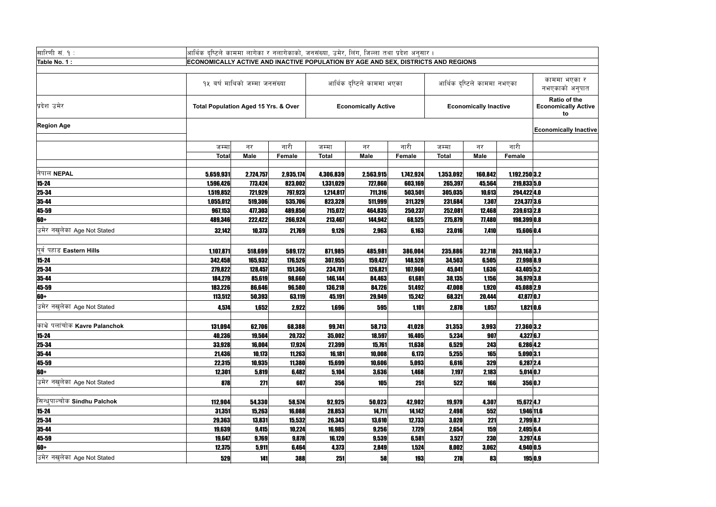|              | <sup>नाममा</sup> नभएका | काममा भएका र<br>नभएकाको अनुपात                          |
|--------------|------------------------|---------------------------------------------------------|
| lly Inactive |                        | <b>Ratio of the</b><br><b>Economically Active</b><br>to |
|              |                        | <b>Economically Inactive</b>                            |
| र            | नारी                   |                                                         |
| ale          | <b>Female</b>          |                                                         |
|              |                        |                                                         |
| 60,842       | 1,192,250 3.2          |                                                         |
| 45,564       | 219,833 5.0            |                                                         |
| 10,613       | 294,422 4.0            |                                                         |
| 7,307        | 224,377 3.6            |                                                         |
| 12,468       | 239,613 2.8            |                                                         |
| 77,480       | 198,399 0.8            |                                                         |
| 7,410        | 15,606 0.4             |                                                         |
|              |                        |                                                         |
| 32,718       | 203,168 3.7            |                                                         |
| 6,505        | 27,998 8.9             |                                                         |
| 1,636        | 43,405 5.2             |                                                         |
| 1,156        | 36,979 3.8             |                                                         |
| 1,920        | 45,088 2.9             |                                                         |
| 20,444       | 47,877 0.7             |                                                         |
| 1,057        | $1,821$ 0.6            |                                                         |
|              |                        |                                                         |
| 3,993        | 27,360 3.2             |                                                         |
| 907          | 4,327 6.7              |                                                         |
| 243          | 6,286 4.2              |                                                         |
| 165          | 5,090 3.1              |                                                         |
| 329          | 6,287 2.4              |                                                         |
| 2,183        | $5,014$ 0.7            |                                                         |
| 166          | 356 0.7                |                                                         |
|              |                        |                                                         |
| 4,307        | 15,672 4.7             |                                                         |
| 552          | 1,946 11.6             |                                                         |
| 221          | 2,799 8.7              |                                                         |
| 159          | 2,495 6.4              |                                                         |
| <b>230</b>   | 3,297 4.6              |                                                         |
| 3,062        | 4,940 0.5              |                                                         |
| 83           | 195 0.9                |                                                         |

| सारिणी सं. १ :                     |                                                                                   | आर्थिक दृष्टिले काममा लागेका र नलागेकाको, जनसंख्या, उमेर, लिंग, जिल्ला तथा प्रदेश अनुसार । |               |                     |                            |              |              |                              |                          |                                          |  |  |
|------------------------------------|-----------------------------------------------------------------------------------|--------------------------------------------------------------------------------------------|---------------|---------------------|----------------------------|--------------|--------------|------------------------------|--------------------------|------------------------------------------|--|--|
| Table No. 1 :                      | ECONOMICALLY ACTIVE AND INACTIVE POPULATION BY AGE AND SEX, DISTRICTS AND REGIONS |                                                                                            |               |                     |                            |              |              |                              |                          |                                          |  |  |
|                                    |                                                                                   |                                                                                            |               |                     |                            |              |              |                              |                          |                                          |  |  |
|                                    |                                                                                   | १५ बर्ष माथिको जम्मा जनसंख्या                                                              |               |                     | आर्थिक दृष्टिले काममा भएका |              |              | आर्थिक दृष्टिले काममा नभएका  |                          | काममा भएव<br>नभएकाको अ                   |  |  |
| प्रदेश उमेर                        | <b>Total Population Aged 15 Yrs. &amp; Over</b>                                   |                                                                                            |               |                     | <b>Economically Active</b> |              |              | <b>Economically Inactive</b> |                          | Ratio of tl<br><b>Economically</b><br>to |  |  |
| <b>Region Age</b>                  |                                                                                   |                                                                                            |               |                     |                            |              |              |                              |                          | <b>Economically I</b>                    |  |  |
|                                    | जम्मा                                                                             | नर                                                                                         | नारी          | जम्मा               | नर                         | नारी         | जम्मा        | नर                           | नारी                     |                                          |  |  |
|                                    | <b>Total</b>                                                                      | <b>Male</b>                                                                                | <b>Female</b> | <b>Total</b>        | <b>Male</b>                | Female       | <b>Total</b> | <b>Male</b>                  | Female                   |                                          |  |  |
| नेपाल NEPAL                        | 5,659,931                                                                         | 2,724,757                                                                                  | 2,935,174     | 4,306,839           | 2,563,915                  | 1,742,924    | 1,353,092    | 160,842                      | 1,192,250 3.2            |                                          |  |  |
| $15 - 24$                          | 1,596,426                                                                         | 773,424                                                                                    | 823,002       | 1,331,029           | 727,860                    | 603,169      | 265,397      | 45,564                       | 219,833 5.0              |                                          |  |  |
| 25-34                              | 1,519,852                                                                         | 721,929                                                                                    | 797,923       | 1,214,817           | 711,316                    | 503,501      | 305,035      | 10,613                       | 294,422 4.0              |                                          |  |  |
| 35-44                              | 1,055,012                                                                         | 519,306                                                                                    | 535,706       | 823,328             | 511,999                    | 311,329      | 231,684      | 7,307                        | 224,377 3.6              |                                          |  |  |
| 45-59                              | 967,153                                                                           | 477,303                                                                                    | 489,850       | 715,072             | 464,835                    | 250,237      | 252,081      | 12,468                       | 239,613 2.8              |                                          |  |  |
| 60+                                | 489,346                                                                           | 222,422                                                                                    | 266,924       | 213,467             | 144,942                    | 68,525       | 275,879      | 77,480                       | 198,399 0.8              |                                          |  |  |
| उमेर नखुलेका Age Not Stated        | 32,142                                                                            | 10,373                                                                                     | 21,769        | 9,126               | 2,963                      | 6,163        | 23,016       | 7,410                        | 15,606 0.4               |                                          |  |  |
|                                    |                                                                                   |                                                                                            |               |                     |                            |              |              |                              |                          |                                          |  |  |
| पूर्व पहाड Eastern Hills           | 1,107,871                                                                         | 518,699                                                                                    | 589,172       | 871,985             | 485,981                    | 386,004      | 235,886      | 32,718                       | 203,168 3.7              |                                          |  |  |
| $15 - 24$                          | 342,458                                                                           | 165,932                                                                                    | 176,526       | 307,955             | 159,427                    | 148,528      | 34,503       | 6,505                        | 27,998 8.9               |                                          |  |  |
| $25 - 34$                          | 279,822                                                                           | 128,457                                                                                    | 151,365       | 234,781             | 126,821                    | 107,960      | 45,041       | 1,636                        | 43,405 5.2               |                                          |  |  |
| 35-44                              | 184,279                                                                           | 85,619                                                                                     | 98,660        | 146,144             | 84,463                     | 61,681       | 38,135       | 1,156                        | 36,979 3.8               |                                          |  |  |
| 45-59                              | 183,226                                                                           | 86,646                                                                                     | 96,580        | 136,218             | 84,726                     | 51,492       | 47,008       | 1,920                        | 45,088 2.9               |                                          |  |  |
| 60+                                | 113,512                                                                           | 50,393                                                                                     | 63,119        | 45,191              | 29,949                     | 15,242       | 68,321       | 20,444                       | 47,877 0.7               |                                          |  |  |
| उमेर नखुलेका Age Not Stated        | 4,574                                                                             | 1,652                                                                                      | 2,922         | 1,696               | 595                        | 1,101        | 2,878        | 1,057                        | $1,821$ 0.6              |                                          |  |  |
| काभ्रे पलांचोक Kavre Palanchok     |                                                                                   |                                                                                            |               |                     |                            |              |              |                              |                          |                                          |  |  |
|                                    | 131,094                                                                           | 62,706                                                                                     | 68,388        | 99,741              | 58,713                     | 41,028       | 31,353       | 3,993                        | 27,360 3.2               |                                          |  |  |
| $15 - 24$                          | 40,236                                                                            | 19,504                                                                                     | 20,732        | 35,002              | 18,597                     | 16,405       | 5,234        | 907                          | 4,327 6.7                |                                          |  |  |
| 25-34                              | 33,928                                                                            | 16,004                                                                                     | 17,924        | 27,399              | 15,761                     | 11,638       | 6,529        | 243                          | 6,286 4.2                |                                          |  |  |
| 35-44                              | 21,436                                                                            | 10,173                                                                                     | 11,263        | 16,181              | 10,008                     | 6,173        | 5,255        | 165                          | 5,090 3.1                |                                          |  |  |
| 45-59                              | 22,315                                                                            | 10,935                                                                                     | 11,380        | 15,699              | 10,606                     | 5,093        | 6,616        | 329                          | 6,287 2.4<br>$5,014$ 0.7 |                                          |  |  |
| 60+<br>उमेर नखुलेका Age Not Stated | 12,301<br>878                                                                     | 5,819<br>271                                                                               | 6,482<br>607  | 5,104<br><b>356</b> | 3,636<br>105               | 1,468<br>251 | 7,197<br>522 | 2,183<br><b>166</b>          | 356 0.7                  |                                          |  |  |
|                                    |                                                                                   |                                                                                            |               |                     |                            |              |              |                              |                          |                                          |  |  |
| सिन्धुपाल्चोक Sindhu Palchok       | 112,904                                                                           | 54,330                                                                                     | 58,574        | 92,925              | 50,023                     | 42,902       | 19,979       | 4,307                        | 15,672 4.7               |                                          |  |  |
| $15 - 24$                          | 31,351                                                                            | 15,263                                                                                     | 16,088        | 28,853              | 14,711                     | 14,142       | 2,498        | 552                          | 1,946 11.6               |                                          |  |  |
| 25-34                              | 29,363                                                                            | 13,831                                                                                     | 15,532        | 26,343              | 13,610                     | 12,733       | 3,020        | 221                          | 2,799 8.7                |                                          |  |  |
| 35-44                              | 19,639                                                                            | 9,415                                                                                      | 10,224        | 16,985              | 9,256                      | 7,729        | 2,654        | <b>159</b>                   | 2,495 6.4                |                                          |  |  |
| 45-59                              | 19,647                                                                            | 9,769                                                                                      | 9,878         | 16,120              | 9,539                      | 6,581        | 3,527        | <b>230</b>                   | $3,297$ 4.6              |                                          |  |  |
| 60+                                | 12,375                                                                            | 5,911                                                                                      | 6,464         | 4,373               | 2,849                      | 1,524        | 8,002        | 3,062                        | 4,940 0.5                |                                          |  |  |
| उमेर नखुलेका Age Not Stated        | 529                                                                               | 141                                                                                        | <b>388</b>    | 251                 | 58                         | <b>193</b>   | <b>278</b>   | 83                           | 195 0.9                  |                                          |  |  |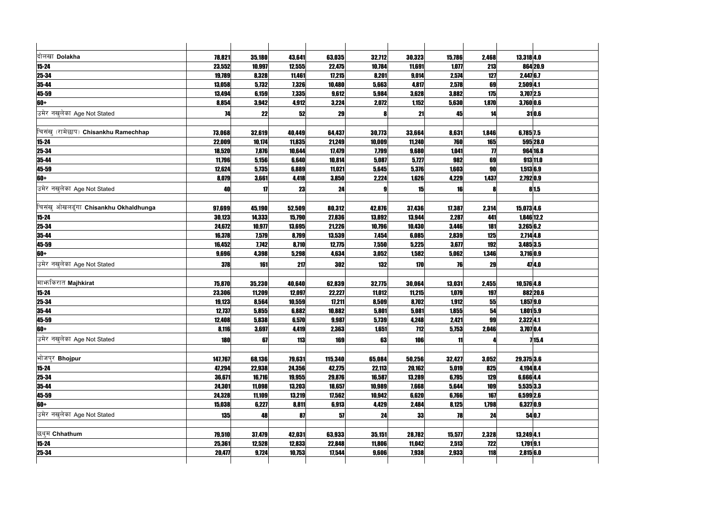| दोलखा Dolakha                         | 78,821     | 35,180 | 43,641 | 63,035  | 32,712 | 30,323     | 15,786 | 2,468               | $13,318$ 4.0 |              |
|---------------------------------------|------------|--------|--------|---------|--------|------------|--------|---------------------|--------------|--------------|
| $15 - 24$                             | 23,552     | 10,997 | 12,555 | 22,475  | 10,784 | 11,691     | 1,077  | 213                 |              | 864 20.9     |
| 25-34                                 | 19,789     | 8,328  | 11,461 | 17,215  | 8,201  | 9,014      | 2,574  | 127                 | $2,447$ 6.7  |              |
| 35-44                                 | 13,058     | 5,732  | 7,326  | 10,480  | 5,663  | 4,817      | 2,578  | 69                  | 2,509 4.1    |              |
| 45-59                                 | 13,494     | 6,159  | 7,335  | 9,612   | 5,984  | 3,628      | 3,882  | 175                 | $3,707$  2.5 |              |
| 60+                                   | 8,854      | 3,942  | 4,912  | 3,224   | 2,072  | 1,152      | 5,630  | 1,870               |              | 3,760 0.6    |
| उमेर नखुलेका Age Not Stated           | 74         | 22     | 52     | 29      |        | 21         | 45     | 14                  |              | 31 0.6       |
|                                       |            |        |        |         |        |            |        |                     |              |              |
| चिसंख् (रामेछाप) Chisankhu Ramechhap  | 73,068     | 32,619 | 40,449 | 64,437  | 30,773 | 33,664     | 8,631  | 1,846               | 6,785 7.5    |              |
| $15 - 24$                             | 22,009     | 10,174 | 11,835 | 21,249  | 10,009 | 11,240     | 760    | <b>165</b>          |              | 595 28.0     |
| 25-34                                 | 18,520     | 7,876  | 10,644 | 17,479  | 7,799  | 9,680      | 1,041  | $\boldsymbol{\eta}$ |              | 964 16.8     |
| 35-44                                 | 11,796     | 5,156  | 6,640  | 10,814  | 5,087  | 5,727      | 982    | 69                  |              | 913 11.0     |
| 45-59                                 | 12,624     | 5,735  | 6,889  | 11,021  | 5,645  | 5,376      | 1,603  | 90                  |              | $1,513$ 6.9  |
| 60+                                   | 8,079      | 3,661  | 4,418  | 3,850   | 2,224  | 1,626      | 4,229  | 1,437               | 2,792 0.9    |              |
| उमेर नखलेका Age Not Stated            | 40         | 17     | 23     | 24      |        | 15         | 16     |                     |              | 81.5         |
|                                       |            |        |        |         |        |            |        |                     |              |              |
| चिसंख् ओखलढ्ंगा Chisankhu Okhaldhunga | 97,699     | 45,190 | 52,509 | 80,312  | 42,876 | 37,436     | 17,387 | 2,314               | 15,073 4.6   |              |
| $15 - 24$                             | 30,123     | 14,333 | 15,790 | 27,836  | 13,892 | 13,944     | 2,287  | 441                 |              | $1,846$ 12.2 |
| $25 - 34$                             | 24,672     | 10,977 | 13,695 | 21,226  | 10,796 | 10,430     | 3,446  | 181                 | 3,2656.2     |              |
| $35 - 44$                             | 16,378     | 7,579  | 8,799  | 13,539  | 7,454  | 6,085      | 2,839  | 125                 | 2,714 4.8    |              |
| 45-59                                 | 16,452     | 7,742  | 8,710  | 12,775  | 7,550  | 5,225      | 3,677  | 192                 | $3,485$ 3.5  |              |
| 60+                                   | 9,696      | 4,398  | 5,298  | 4,634   | 3,052  | 1,582      | 5,062  | 1,346               | $3,716$ 0.9  |              |
| उमेर नखलेका Age Not Stated            | 378        | 161    | 217    | 302     | 132    | 170        | 76     | 29                  |              | 47 4.0       |
|                                       |            |        |        |         |        |            |        |                     |              |              |
| माभ्रकिरात Majhkirat                  | 75,870     | 35,230 | 40,640 | 62,839  | 32,775 | 30,064     | 13,031 | 2,455               | $10,576$ 4.8 |              |
| $15 - 24$                             | 23,306     | 11,209 | 12,097 | 22,227  | 11,012 | 11,215     | 1,079  | 197                 |              | 882 20.6     |
| $25 - 34$                             | 19,123     | 8,564  | 10,559 | 17,211  | 8,509  | 8,702      | 1,912  | 55                  |              | $1,857$  9.0 |
| 35-44                                 | 12,737     | 5,855  | 6,882  | 10,882  | 5,801  | 5,081      | 1,855  | 54                  |              | $1,801$ 5.9  |
| 45-59                                 | 12,408     | 5,838  | 6,570  | 9,987   | 5,739  | 4,248      | 2,421  | 99                  | 2,322 4.1    |              |
| 60+                                   | 8,116      | 3,697  | 4,419  | 2,363   | 1,651  | <b>712</b> | 5,753  | 2,046               | $3,707$ 0.4  |              |
| उमेर नखुलेका Age Not Stated           | <b>180</b> | 67     | 113    | 169     | 63     | <b>106</b> | 11     |                     |              | 715.4        |
|                                       |            |        |        |         |        |            |        |                     |              |              |
| भोजपुर Bhojpur                        | 147,767    | 68,136 | 79,631 | 115,340 | 65,084 | 50,256     | 32,427 | 3,052               | 29,375 3.6   |              |
| $15 - 24$                             | 47,294     | 22,938 | 24,356 | 42,275  | 22,113 | 20,162     | 5,019  | 825                 | 4,194 8.4    |              |
| 25-34                                 | 36,671     | 16,716 | 19,955 | 29,876  | 16,587 | 13,289     | 6,795  | 129                 | 6,666 4.4    |              |
| $35 - 44$                             | 24,301     | 11,098 | 13,203 | 18,657  | 10,989 | 7,668      | 5,644  | 109                 | $5,535$ 3.3  |              |
| 45-59                                 | 24,328     | 11,109 | 13,219 | 17,562  | 10,942 | 6,620      | 6,766  | 167                 | 6,599 2.6    |              |
| 60+                                   | 15,038     | 6,227  | 8,811  | 6,913   | 4,429  | 2,484      | 8,125  | 1,798               |              | $6,327$ 0.9  |
| उमेर नखलेका Age Not Stated            | <b>135</b> | 48     | 87     | 57      | 24     | 33         | 78     | 24                  |              | 54 0.7       |
|                                       |            |        |        |         |        |            |        |                     |              |              |
| छथुम Chhathum                         | 79,510     | 37,479 | 42,031 | 63,933  | 35,151 | 28,782     | 15,577 | 2,328               | $13,249$ 4.1 |              |
| $15 - 24$                             | 25,361     | 12,528 | 12,833 | 22,848  | 11,806 | 11,042     | 2,513  | <b>722</b>          |              | 1,7919.1     |
| 25-34                                 | 20,477     | 9,724  | 10,753 | 17,544  | 9,606  | 7,938      | 2,933  | <b>118</b>          |              | 2,815 6.0    |
|                                       |            |        |        |         |        |            |        |                     |              |              |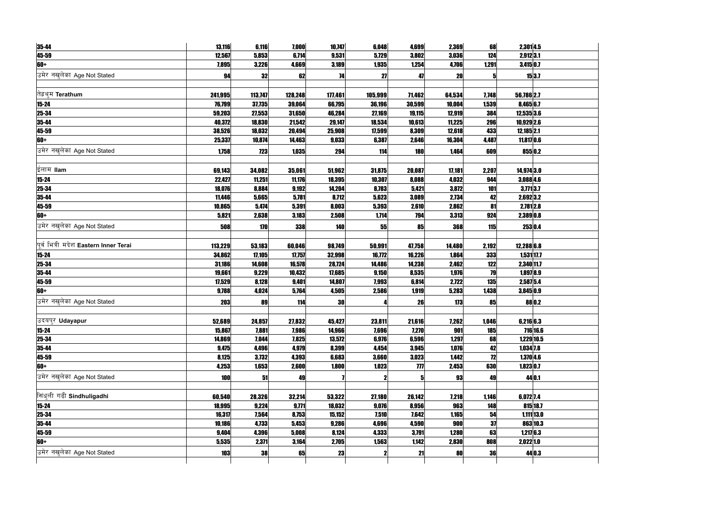| 35-44                                 | 13,116     | 6,116      | 7,000   | 10,747    | 6,048   | 4,699               | 2,369     | 68         | 2,301 4.5     |              |
|---------------------------------------|------------|------------|---------|-----------|---------|---------------------|-----------|------------|---------------|--------------|
| 45-59                                 | 12,567     | 5,853      | 6,714   | 9,531     | 5,729   | 3,802               | 3,036     | 124        | 2,9123.1      |              |
| 60+                                   | 7,895      | 3,226      | 4,669   | 3,189     | 1,935   | 1,254               | 4,706     | 1,291      | 3,415 0.7     |              |
| उमेर नखुलेका Age Not Stated           | 94         | 32         | 62      | 74        | 27      | 47                  | <b>20</b> |            |               | 15 3.7       |
|                                       |            |            |         |           |         |                     |           |            |               |              |
| तिह्रथुम <b>Terathum</b>              | 241,995    | 113,747    | 128,248 | 177,461   | 105,999 | 71,462              | 64,534    | 7,748      | 56,786 2.7    |              |
| $15 - 24$                             | 76,799     | 37,735     | 39,064  | 66,795    | 36,196  | 30,599              | 10,004    | 1,539      | 8,465 6.7     |              |
| 25-34                                 | 59,203     | 27,553     | 31,650  | 46,284    | 27,169  | 19,115              | 12,919    | 384        | $12,535$  3.6 |              |
| 35-44                                 | 40,372     | 18,830     | 21,542  | 29,147    | 18,534  | 10,613              | 11,225    | 296        | 10,929 2.6    |              |
| 45-59                                 | 38,526     | 18,032     | 20,494  | 25,908    | 17,599  | 8,309               | 12,618    | 433        | $12,185$  2.1 |              |
| 60+                                   | 25,337     | 10,874     | 14,463  | 9,033     | 6,387   | 2,646               | 16,304    | 4,487      | $11,817$ 0.6  |              |
| उमेर नखुलेका Age Not Stated           | 1,758      | <b>723</b> | 1,035   | 294       | 114     | <b>180</b>          | 1,464     | 609        | 855 0.2       |              |
|                                       |            |            |         |           |         |                     |           |            |               |              |
| ईलाम llam                             | 69,143     | 34,082     | 35,061  | 51,962    | 31,875  | 20,087              | 17,181    | 2,207      | 14,974 3.0    |              |
| $15 - 24$                             | 22,427     | 11,251     | 11,176  | 18,395    | 10,307  | 8,088               | 4,032     | 944        | 3,088 4.6     |              |
| 25-34                                 | 18,076     | 8,884      | 9,192   | 14,204    | 8,783   | 5,421               | 3,872     | 101        | $3,771$ $3.7$ |              |
| 35-44                                 | 11,446     | 5,665      | 5,781   | 8,712     | 5,623   | 3,089               | 2,734     | 42         | 2,692 3.2     |              |
| 45-59                                 | 10,865     | 5,474      | 5,391   | 8,003     | 5,393   | 2,610               | 2,862     | 81         | 2,781 2.8     |              |
| 60+                                   | 5,821      | 2,638      | 3,183   | 2,508     | 1,714   | 794                 | 3,313     | 924        | 2,389 0.8     |              |
| उमेर नखुलेका Age Not Stated           | 508        | 170        | 338     | 140       | 55      | 85                  | 368       | 115        | 253 0.4       |              |
|                                       |            |            |         |           |         |                     |           |            |               |              |
| पूर्व भित्री मदेश Eastern Inner Terai | 113,229    | 53,183     | 60,046  | 98,749    | 50,991  | 47,758              | 14,480    | 2,192      | $12,288$ 6.8  |              |
| $15 - 24$                             | 34,862     | 17,105     | 17,757  | 32,998    | 16,772  | 16,226              | 1,864     | 333        | $1,531$ 17.7  |              |
| 25-34                                 | 31,186     | 14,608     | 16,578  | 28,724    | 14,486  | 14,238              | 2,462     | 122        | 2,340 11.7    |              |
| 35-44                                 | 19,661     | 9,229      | 10,432  | 17,685    | 9,150   | 8,535               | 1,976     | 79         | $1,897$  8.9  |              |
| 45-59                                 | 17,529     | 8,128      | 9,401   | 14,807    | 7,993   | 6,814               | 2,722     | 135        | 2,587 5.4     |              |
| 60+                                   | 9,788      | 4,024      | 5,764   | 4,505     | 2,586   | 1,919               | 5,283     | 1,438      | $3,845$ 0.9   |              |
| उमेर नखुलेका Age Not Stated           | 203        | 89         | 114     | 30        |         | 26                  | 173       | 85         |               | 88 0.2       |
|                                       |            |            |         |           |         |                     |           |            |               |              |
| उदयपुर Udayapur                       | 52,689     | 24,857     | 27,832  | 45,427    | 23,811  | 21,616              | 7,262     | 1,046      | 6,216 6.3     |              |
| $15 - 24$                             | 15,867     | 7,881      | 7,986   | 14,966    | 7,696   | 7,270               | 901       | <b>185</b> |               | 716 16.6     |
| $25 - 34$                             | 14,869     | 7,044      | 7,825   | 13,572    | 6,976   | 6,596               | 1,297     | 68         | 1,229 10.5    |              |
| $35 - 44$                             | 9,475      | 4,496      | 4,979   | 8,399     | 4,454   | 3,945               | 1,076     | 42         | $1,034$ 7.8   |              |
| 45-59                                 | 8,125      | 3,732      | 4,393   | 6,683     | 3,660   | 3,023               | 1,442     | 12         | $1,370$ 4.6   |              |
| 60+                                   | 4,253      | 1,653      | 2,600   | 1,800     | 1,023   | $\boldsymbol{\eta}$ | 2,453     | 630        | $1,823$ 0.7   |              |
| उमेर नखुलेका Age Not Stated           | <b>100</b> |            |         |           |         |                     |           |            |               | 44 0.1       |
|                                       |            | 51         | 49      |           |         |                     | 93        | 49         |               |              |
| सिंधुली गढी Sindhuligadhi             | 60,540     | 28,326     | 32,214  | 53,322    | 27,180  | 26,142              | 7,218     | 1,146      | 6,072 7.4     |              |
| $15 - 24$                             | 18,995     | 9,224      | 9,771   | 18,032    | 9,076   | 8,956               | 963       | 148        |               | 815 18.7     |
| $25 - 34$                             | 16,317     | 7,564      | 8,753   | 15,152    | 7,510   | 7,642               | 1,165     | 54         |               | $1,111$ 13.0 |
| $35 - 44$                             | 10,186     | 4,733      | 5,453   | 9,286     | 4,696   | 4,590               | 900       | 37         |               | 863 10.3     |
| 45-59                                 | 9,404      | 4,396      | 5,008   | 8,124     | 4,333   | 3,791               | 1,280     | 63         | 1,2176.3      |              |
| 60+                                   | 5,535      | 2,371      | 3,164   | 2,705     | 1,563   | 1,142               | 2,830     | 808        | $2,022$ 1.0   |              |
| उमेर नखुलेका Age Not Stated           | <b>103</b> | 38         | 65      | <b>23</b> |         | 21                  | 80        | 36         |               | 44 0.3       |
|                                       |            |            |         |           |         |                     |           |            |               |              |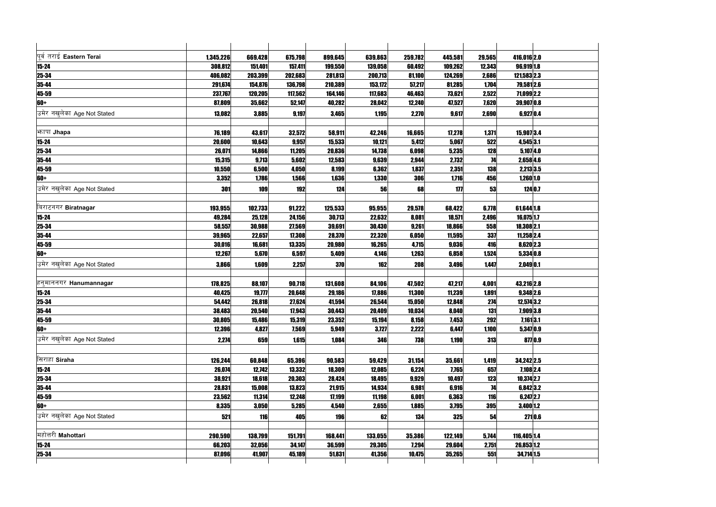| पूर्व तराई Eastern Terai    | 1,345,226 | 669,428 | 675,798    | 899,645    | 639,863 | 259,782    | 445,581    | 29,565     | 416,016 2.0   |  |
|-----------------------------|-----------|---------|------------|------------|---------|------------|------------|------------|---------------|--|
| $15 - 24$                   | 308,812   | 151,401 | 157,411    | 199,550    | 139,058 | 60,492     | 109,262    | 12,343     | 96,919 1.8    |  |
| 25-34                       | 406,082   | 203,399 | 202,683    | 281,813    | 200,713 | 81,100     | 124,269    | 2,686      | 121,583 2.3   |  |
| 35-44                       | 291,674   | 154,876 | 136,798    | 210,389    | 153,172 | 57,217     | 81,285     | 1,704      | 79,581 2.6    |  |
|                             | 237,767   | 120,205 | 117,562    | 164,146    | 117,683 | 46,463     | 73,621     | 2,522      | 71,099 2.2    |  |
| 45-59<br>60+                | 87,809    | 35,662  | 52,147     | 40,282     | 28,042  | 12,240     | 47,527     | 7,620      | 39,907 0.8    |  |
| उमेर नखलेका Age Not Stated  | 13,082    | 3,885   | 9,197      | 3,465      | 1,195   | 2,270      | 9,617      | 2,690      | $6,927$ 0.4   |  |
| भनापा Jhapa                 | 76,189    | 43,617  | 32,572     | 58,911     | 42,246  | 16,665     | 17,278     | 1,371      | 15,907 3.4    |  |
| $15 - 24$                   | 20,600    | 10,643  | 9,957      | 15,533     | 10,121  | 5,412      | 5,067      | 522        | 4,545 3.1     |  |
|                             | 26,071    | 14,866  | 11,205     | 20,836     | 14,738  | 6,098      | 5,235      | 128        | $5,107$ 4.0   |  |
| 25-34<br>35-44              | 15,315    | 9,713   | 5,602      | 12,583     | 9,639   | 2,944      | 2,732      | 74         | 2,658 4.6     |  |
|                             | 10,550    | 6,500   | 4,050      | 8,199      | 6,362   | 1,837      | 2,351      | 138        | 2,213 3.5     |  |
| 45-59<br>60+                | 3,352     | 1,786   | 1,566      | 1,636      | 1,330   | 306        | 1,716      | 456        | 1,260 1.0     |  |
| उमेर नखलेका Age Not Stated  | 301       | 109     | <b>192</b> | 124        | 56      | 68         | 177        | 53         | 124 0.7       |  |
| बिराटनगर Biratnagar         | 193,955   | 102,733 | 91,222     | 125,533    | 95,955  | 29,578     | 68,422     | 6,778      | 61,644 1.8    |  |
| $15 - 24$                   | 49,284    | 25,128  | 24,156     | 30,713     | 22,632  | 8,081      | 18,571     | 2,496      | $16,075$  1.7 |  |
| $25 - 34$                   | 58,557    | 30,988  | 27,569     | 39,691     | 30,430  | 9,261      | 18,866     | 558        | 18,308 2.1    |  |
| $35 - 44$                   | 39,965    | 22,657  | 17,308     | 28,370     | 22,320  | 6,050      | 11,595     | 337        | 11,258 2.4    |  |
| 45-59                       | 30,016    | 16,681  | 13,335     | 20,980     | 16,265  | 4,715      | 9,036      | 416        | 8,620 2.3     |  |
| 60+                         | 12,267    | 5,670   | 6,597      | 5,409      | 4,146   | 1,263      | 6,858      | 1,524      | 5,334 0.8     |  |
| उमेर नखलेका Age Not Stated  | 3,866     | 1,609   | 2,257      | 370        | 162     | 208        | 3,496      | 1,447      | $2,049$ 0.1   |  |
| हनुमाननगर Hanumannagar      | 178,825   | 88,107  | 90,718     | 131,608    | 84,106  | 47,502     | 47,217     | 4,001      | 43,216 2.8    |  |
| $15 - 24$                   | 40,425    | 19,777  | 20,648     | 29,186     | 17,886  | 11,300     | 11,239     | 1,891      | $9,348$  2.6  |  |
|                             | 54,442    | 26,818  | 27,624     | 41,594     | 26,544  | 15,050     | 12,848     | 274        | 12,574 3.2    |  |
| 25-34<br>35-44              | 38,483    | 20,540  | 17,943     | 30,443     | 20,409  | 10,034     | 8,040      | 131        | 7,909 3.8     |  |
|                             | 30,805    | 15,486  | 15,319     | 23,352     | 15,194  | 8,158      | 7,453      | 292        | 7,1613.1      |  |
| 45-59<br>60+                | 12,396    | 4,827   | 7,569      | 5,949      | 3,727   | 2,222      | 6,447      | 1,100      | $5,347$ 0.9   |  |
| उमेर नखुलेका Age Not Stated | 2,274     | 659     | 1,615      | 1,084      | 346     | <b>738</b> | 1,190      | <b>313</b> | 877 0.9       |  |
|                             |           |         |            |            |         |            |            |            |               |  |
| सिराहा Siraha               | 126,244   | 60,848  | 65,396     | 90,583     | 59,429  | 31,154     | 35,661     | 1,419      | 34,242 2.5    |  |
| $15 - 24$                   | 26,074    | 12,742  | 13,332     | 18,309     | 12,085  | 6,224      | 7,765      | 657        | 7,108 2.4     |  |
| <b>25-34</b>                | 38,921    | 18,618  | 20,303     | 28,424     | 18,495  | 9,929      | 10,497     | 123        | 10,374 2.7    |  |
| 35-44                       | 28,831    | 15,008  | 13,823     | 21,915     | 14,934  | 6,981      | 6,916      | 74         | $6,842$ 3.2   |  |
| 45-59<br>60+                | 23,562    | 11,314  | 12,248     | 17,199     | 11,198  | 6,001      | 6,363      | 116        | $6,247$  2.7  |  |
|                             | 8,335     | 3,050   | 5,285      | 4,540      | 2,655   | 1,885      | 3,795      | 395        | 3,400 1.2     |  |
| उमेर नखलेका Age Not Stated  | 521       | 116     | 405        | <b>196</b> | 62      | 134        | <b>325</b> | 54         | 271 0.6       |  |
| महोत्तरी Mahottari          | 290,590   | 138,799 | 151,791    | 168,441    | 133,055 | 35,386     | 122,149    | 5,744      | 116,405 1.4   |  |
| $15 - 24$                   | 66,203    | 32,056  | 34,147     | 36,599     | 29,305  | 7,294      | 29,604     | 2,751      | 26,853 1.2    |  |
| 25-34                       | 87,096    | 41,907  | 45,189     | 51,831     | 41,356  | 10,475     | 35,265     | 551        | 34,714 1.5    |  |
|                             |           |         |            |            |         |            |            |            |               |  |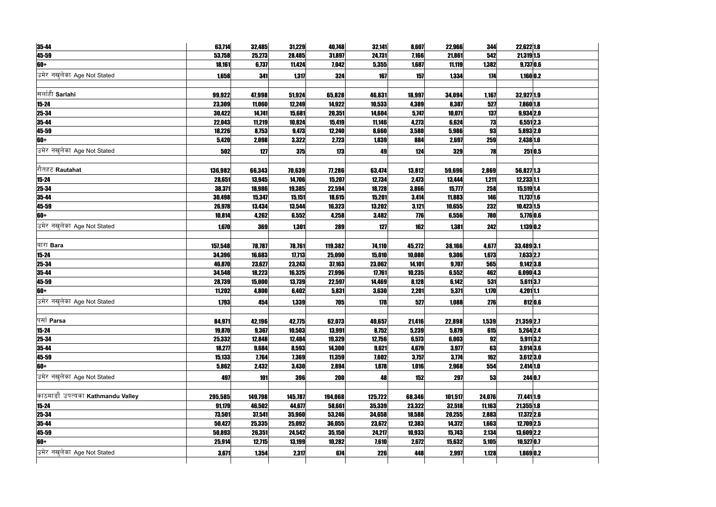| 35-44                             | 63,714  | 32,485  | 31,229  | 40,748     | 32,141     | 8,607  | 22,966  | 344    | 22,622 1.8   |         |
|-----------------------------------|---------|---------|---------|------------|------------|--------|---------|--------|--------------|---------|
| 45-59                             | 53,758  | 25,273  | 28,485  | 31,897     | 24,731     | 7,166  | 21,861  | 542    | 21,319 1.5   |         |
| 60+                               | 18,161  | 6,737   | 11,424  | 7,042      | 5,355      | 1,687  | 11,119  | 1,382  | $9,737$ 0.6  |         |
| उमेर नखुलेका Age Not Stated       | 1,658   | 341     | 1,317   | 324        | 167        | 157    | 1,334   | 174    | $1,160$ 0.2  |         |
|                                   |         |         |         |            |            |        |         |        |              |         |
| सर्लाही Sarlahi                   | 99,922  | 47,998  | 51,924  | 65,828     | 46,831     | 18,997 | 34,094  | 1,167  | 32,927 1.9   |         |
| $15 - 24$                         | 23,309  | 11,060  | 12,249  | 14,922     | 10,533     | 4,389  | 8,387   | 527    | 7,860 1.8    |         |
| 25-34                             | 30,422  | 14,741  | 15,681  | 20,351     | 14,604     | 5,747  | 10,071  | 137    | 9,934 2.0    |         |
| 35-44                             | 22,043  | 11,219  | 10,824  | 15,419     | 11,146     | 4,273  | 6,624   | 73     | 6,551 2.3    |         |
| 45-59                             | 18,226  | 8,753   | 9,473   | 12,240     | 8,660      | 3,580  | 5,986   | 93     | 5,893 2.0    |         |
| 60+                               | 5,420   | 2,098   | 3,322   | 2,723      | 1,839      | 884    | 2,697   | 259    | 2,438 1.0    |         |
| उमेर नखलेका Age Not Stated        | 502     | 127     | 375     | 173        | 49         | 124    | 329     | 78     |              | 251 0.5 |
|                                   |         |         |         |            |            |        |         |        |              |         |
| रौतहट Rautahat                    | 136,982 | 66,343  | 70,639  | 77,286     | 63,474     | 13,812 | 59,696  | 2,869  | 56,827 1.3   |         |
| $15 - 24$                         | 28,651  | 13,945  | 14,706  | 15,207     | 12,734     | 2,473  | 13,444  | 1,211  | 12,233 1.1   |         |
| 25-34                             | 38,371  | 18,986  | 19,385  | 22,594     | 18,728     | 3,866  | 15,777  | 258    | 15,519 1.4   |         |
| 35-44                             | 30,498  | 15,347  | 15,151  | 18,615     | 15,201     | 3,414  | 11,883  | 146    | $11,737$ 1.6 |         |
| 45-59                             | 26,978  | 13,434  | 13,544  | 16,323     | 13,202     | 3,121  | 10,655  | 232    | 10,423 1.5   |         |
| 60+                               | 10,814  | 4,262   | 6,552   | 4,258      | 3,482      | 776    | 6,556   | 780    | 5,776 0.6    |         |
| उमेर नखुलेका Age Not Stated       | 1,670   | 369     | 1,301   | 289        | 127        | 162    | 1,381   | 242    | $1,139$ 0.2  |         |
|                                   |         |         |         |            |            |        |         |        |              |         |
| बारा Bara                         | 157,548 | 78,787  | 78,761  | 119,382    | 74,110     | 45,272 | 38,166  | 4,677  | 33,489 3.1   |         |
| $15 - 24$                         | 34,396  | 16,683  | 17,713  | 25,090     | 15,010     | 10,080 | 9,306   | 1,673  | 7,633 2.7    |         |
| $25 - 34$                         | 46,870  | 23,627  | 23,243  | 37,163     | 23,062     | 14,101 | 9,707   | 565    | $9,142$ 3.8  |         |
| 35-44                             | 34,548  | 18,223  | 16,325  | 27,996     | 17,761     | 10,235 | 6,552   | 462    | $6,090$ 4.3  |         |
| $45 - 59$                         | 28,739  | 15,000  | 13,739  | 22,597     | 14,469     | 8,128  | 6,142   | 531    | $5,611$ 3.7  |         |
| 60+                               | 11,202  | 4,800   | 6,402   | 5,831      | 3,630      | 2,201  | 5,371   | 1,170  | 4,2011.1     |         |
| उमेर नखलेका Age Not Stated        | 1,793   | 454     | 1,339   | 705        | 178        | 527    | 1,088   | 276    |              | 812 0.6 |
|                                   |         |         |         |            |            |        |         |        |              |         |
| पसो Parsa                         | 84,971  | 42,196  | 42,775  | 62,073     | 40,657     | 21,416 | 22,898  | 1,539  | 21,359 2.7   |         |
| $15 - 24$                         | 19,870  | 9,367   | 10,503  | 13,991     | 8,752      | 5,239  | 5,879   | 615    | 5,264 2.4    |         |
| 25-34                             | 25,332  | 12,848  | 12,484  | 19,329     | 12,756     | 6,573  | 6,003   | 92     | $5,911$ 3.2  |         |
| 35-44                             | 18,277  | 9,684   | 8,593   | 14,300     | 9,621      | 4,679  | 3,977   | 63     | $3,914$ 3.6  |         |
| 45-59                             | 15,133  | 7,764   | 7,369   | 11,359     | 7,602      | 3,757  | 3,774   | 162    | $3,612$ 3.0  |         |
| 60+                               | 5,862   | 2,432   | 3,430   | 2,894      | 1,878      | 1,016  | 2,968   | 554    | $2,414$ 1.0  |         |
| उमेर नखलेका Age Not Stated        | 497     | 101     | 396     | <b>200</b> | 48         | 152    | 297     | 53     |              | 244 0.7 |
|                                   |         |         |         |            |            |        |         |        |              |         |
| काठमाडौं उपत्यका Kathmandu Valley | 295,585 | 149,798 | 145,787 | 194,068    | 125,722    | 68,346 | 101,517 | 24,076 | 77,441 1.9   |         |
| $15 - 24$                         | 91,179  | 46,502  | 44,677  | 58,661     | 35,339     | 23,322 | 32,518  | 11,163 | $21,355$ 1.8 |         |
| 25-34                             | 73,501  | 37,541  | 35,960  | 53,246     | 34,658     | 18,588 | 20,255  | 2,883  | $17,372$ 2.6 |         |
| 35-44                             | 50,427  | 25,335  | 25,092  | 36,055     | 23,672     | 12,383 | 14,372  | 1,663  | 12,709 2.5   |         |
| 45-59                             | 50,893  | 26,351  | 24,542  | 35,150     | 24,217     | 10,933 | 15,743  | 2,134  | 13,609 2.2   |         |
| 60+                               | 25,914  | 12,715  | 13,199  | 10,282     | 7,610      | 2,672  | 15,632  | 5,105  | $10,527$ 0.7 |         |
| उमेर नखुलेका Age Not Stated       |         |         |         |            |            |        |         |        |              |         |
|                                   | 3,671   | 1,354   | 2,317   | 674        | <b>226</b> | 448    | 2,997   | 1,128  | $1,869$ 0.2  |         |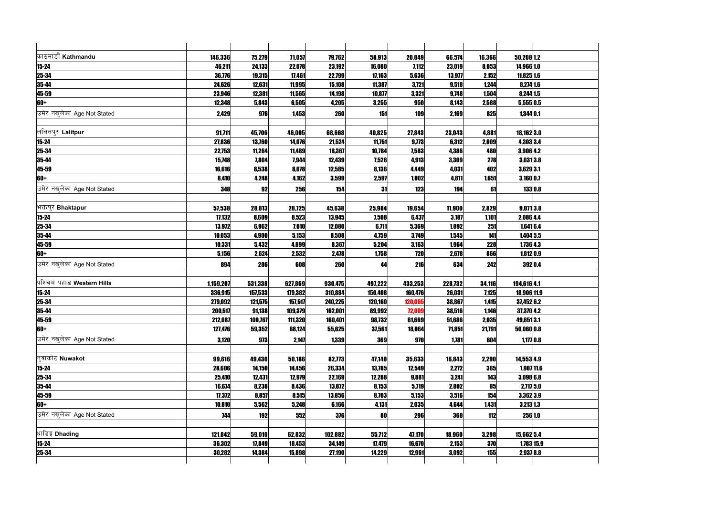| काठमाडौं Kathmandu          | 146,336   | 75,279  | 71,057  | 79,762     | 58,913  | 20,849     | 66,574  | 16,366     | $50,208$ 1.2  |             |
|-----------------------------|-----------|---------|---------|------------|---------|------------|---------|------------|---------------|-------------|
| $15 - 24$                   | 46,211    | 24,133  | 22,078  | 23,192     | 16,080  | 7,112      | 23,019  | 8,053      | 14,966 1.0    |             |
| $25 - 34$                   | 36,776    | 19,315  | 17,461  | 22,799     | 17,163  | 5,636      | 13,977  | 2,152      | $11,825$ 1.6  |             |
| 35-44                       | 24,626    | 12,631  | 11,995  | 15,108     | 11,387  | 3,721      | 9,518   | 1,244      | 8,274 1.6     |             |
| 45-59                       | 23,946    | 12,381  | 11,565  | 14,198     | 10,877  | 3,321      | 9,748   | 1,504      | 8,244 1.5     |             |
| 60+                         | 12,348    | 5,843   | 6,505   | 4,205      | 3,255   | 950        | 8,143   | 2,588      | 5,555 0.5     |             |
| उमेर नखुलेका Age Not Stated | 2,429     | 976     | 1,453   | 260        | 151     | <b>109</b> | 2,169   | 825        | $1,344$ 0.1   |             |
|                             |           |         |         |            |         |            |         |            |               |             |
| ललितपुर Lalitpur            | 91,711    | 45,706  | 46,005  | 68,668     | 40,825  | 27,843     | 23,043  | 4,881      | $18,162$  3.0 |             |
| $15 - 24$                   | 27,836    | 13,760  | 14,076  | 21,524     | 11,751  | 9,773      | 6,312   | 2,009      | 4,303 3.4     |             |
| 25-34                       | 22,753    | 11,264  | 11,489  | 18,367     | 10,784  | 7,583      | 4,386   | 480        | 3,906 4.2     |             |
| 35-44                       | 15,748    | 7,804   | 7,944   | 12,439     | 7,526   | 4,913      | 3,309   | 278        | $3,031$ 3.8   |             |
| 45-59                       | 16,616    | 8,538   | 8,078   | 12,585     | 8,136   | 4,449      | 4,031   | 402        | 3,629 3.1     |             |
| 60+                         | 8,410     | 4,248   | 4,162   | 3,599      | 2,597   | 1,002      | 4,811   | 1,651      | 3,160 0.7     |             |
| उमेर नखुलेका Age Not Stated | 348       | 92      | 256     | 154        | 31      | <b>123</b> | 194     | 61         |               | 133 0.8     |
|                             |           |         |         |            |         |            |         |            |               |             |
| भक्तपुर Bhaktapur           | 57,538    | 28,813  | 28,725  | 45,638     | 25,984  | 19,654     | 11,900  | 2,829      | $9,071$  3.8  |             |
| $15 - 24$                   | 17,132    | 8,609   | 8,523   | 13,945     | 7,508   | 6,437      | 3,187   | 1,101      | 2,086 4.4     |             |
| $25 - 34$                   | 13,972    | 6,962   | 7,010   | 12,080     | 6,711   | 5,369      | 1,892   | 251        | $1,641$ 6.4   |             |
| $35 - 44$                   | 10,053    | 4,900   | 5,153   | 8,508      | 4,759   | 3,749      | 1,545   | 141        | $1,404$ 5.5   |             |
| $45 - 59$                   | 10,331    | 5,432   | 4,899   | 8,367      | 5,204   | 3,163      | 1,964   | <b>228</b> | 1,736 4.3     |             |
| 60+                         | 5,156     | 2,624   | 2,532   | 2,478      | 1,758   | <b>720</b> | 2,678   | 866        | $1,812$ 0.9   |             |
| उमेर नखलेका Age Not Stated  | 894       | 286     | 608     | 260        | 44      | 216        | 634     | 242        |               | 392 0.4     |
|                             |           |         |         |            |         |            |         |            |               |             |
| पश्चिम पहाड Western Hills   | 1,159,207 | 531,338 | 627,869 | 930,475    | 497,222 | 433,253    | 228,732 | 34,116     | 194,616 4.1   |             |
| $15 - 24$                   | 336,915   | 157,533 | 179,382 | 310,884    | 150,408 | 160,476    | 26,031  | 7,125      | 18,906 11.9   |             |
| $25 - 34$                   | 279,092   | 121,575 | 157,517 | 240,225    | 120,160 | 120,065    | 38,867  | 1,415      | $37,452$ 6.2  |             |
| 35-44                       | 200,517   | 91,138  | 109,379 | 162,001    | 89,992  | 72,009     | 38,516  | 1,146      | 37,370 4.2    |             |
| 45-59                       | 212,087   | 100,767 | 111,320 | 160,401    | 98,732  | 61,669     | 51,686  | 2,035      | 49,651 3.1    |             |
| 60+                         | 127,476   | 59,352  | 68,124  | 55,625     | 37,561  | 18,064     | 71,851  | 21,791     | 50,060 0.8    |             |
| उमेर नखुलेका Age Not Stated | 3,120     | 973     | 2,147   | 1,339      | 369     | 970        | 1,781   | 604        |               | $1,177$ 0.8 |
|                             |           |         |         |            |         |            |         |            |               |             |
| नुवाकोट Nuwakot             | 99,616    | 49,430  | 50,186  | 82,773     | 47,140  | 35,633     | 16,843  | 2,290      | 14,553 4.9    |             |
| $15 - 24$                   | 28,606    | 14,150  | 14,456  | 26,334     | 13,785  | 12,549     | 2,272   | 365        |               | 1,907 11.6  |
| $25 - 34$                   | 25,410    | 12,431  | 12,979  | 22,169     | 12,288  | 9,881      | 3,241   | 143        | 3,098 6.8     |             |
| $35 - 44$                   | 16,674    | 8,238   | 8,436   | 13,872     | 8,153   | 5,719      | 2,802   | 85         |               | $2,717$ 5.0 |
| 45-59                       | 17,372    | 8,857   | 8,515   | 13,856     | 8,703   | 5,153      | 3,516   | 154        | 3,362 3.9     |             |
| 60+                         | 10,810    | 5,562   | 5,248   | 6,166      | 4,131   | 2,035      | 4,644   | 1,431      | $3,213$ 1.3   |             |
| उमेर नखुलेका Age Not Stated | 744       | 192     | 552     | <b>376</b> | 80      | <b>296</b> | 368     | 112        |               | 256 1.0     |
|                             |           |         |         |            |         |            |         |            |               |             |
| धाडिङ्ग Dhading             | 121,842   | 59,010  | 62,832  | 102,882    | 55,712  | 47,170     | 18,960  | 3,298      | 15,662 5.4    |             |
| $15 - 24$                   | 36,302    | 17,849  | 18,453  | 34,149     | 17,479  | 16,670     | 2,153   | 370        |               | 1,783 15.9  |
| 25-34                       | 30,282    | 14,384  | 15,898  | 27,190     | 14,229  | 12,961     | 3,092   | 155        | 2,937 8.8     |             |
|                             |           |         |         |            |         |            |         |            |               |             |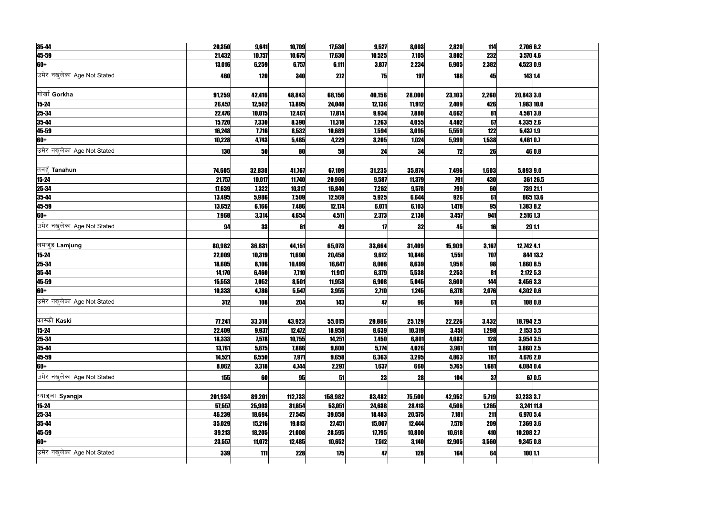| 35-44                       | 20,350           | 9,641           | 10,709           | 17,530           | 9,527           | 8,003           | 2,820          | 114        | 2,706 6.2     |            |
|-----------------------------|------------------|-----------------|------------------|------------------|-----------------|-----------------|----------------|------------|---------------|------------|
| 45-59                       | 21,432           | 10,757          | 10,675           | 17,630           | 10,525          | 7,105           | 3,802          | 232        | $3,570$ 4.6   |            |
| 60+                         | 13,016           | 6,259           | 6,757            | 6,111            | 3,877           | 2,234           | 6,905          | 2,382      | 4,523 0.9     |            |
| उमेर नखुलेका Age Not Stated | 460              | <b>120</b>      | 340              | 272              | 75              | 197             | 188            | 45         |               | 143 1.4    |
|                             |                  |                 |                  |                  |                 |                 |                |            |               |            |
| गोर्खा Gorkha               | 91,259           | 42,416          | 48,843           | 68,156           | 40,156          | 28,000          | 23,103         | 2,260      | 20,843 3.0    |            |
| 15-24                       | 26,457           | 12,562          | 13,895           | 24,048           | 12,136          | 11,912          | 2,409          | 426        |               | 1,983 10.0 |
| $25 - 34$                   | 22,476           | 10,015          | 12,461           | 17,814           | 9,934           | 7,880           | 4,662          | 81         | 4,5813.8      |            |
| $35 - 44$                   | 15,720           | 7,330           | 8,390            | 11,318           | 7,263           | 4,055           | 4,402          | 67         | 4,335 2.6     |            |
| 45-59                       | 16,248           | 7,716           | 8,532            | 10,689           | 7,594           | 3,095           | 5,559          | 122        | $5,437$ 1.9   |            |
| 60+                         | 10,228           | 4,743           | 5,485            | 4,229            | 3,205           | 1,024           | 5,999          | 1,538      | 4,4610.7      |            |
| उमेर नखलेका Age Not Stated  | <b>130</b>       | 50              | 80               | 58               | 24              | 34              | 72             | 26         |               | 46 0.8     |
|                             |                  |                 |                  |                  |                 |                 |                |            |               |            |
| तनहुँ <b>Tanahun</b>        | 74,605           | 32,838          | 41,767           | 67,109           | 31,235          | 35,874          | 7,496          | 1,603      | 5,893 9.0     |            |
| $15 - 24$                   | 21,757           | 10,017          | 11,740           | 20,966           | 9,587           | 11,379          | 791            | 430        |               | 36126.5    |
| $25 - 34$                   | 17,639           | 7,322           | 10,317           | 16,840           | 7,262           | 9,578           | 799            | 60         |               | 739 21.1   |
| 35-44                       | 13,495           | 5,986           | 7,509            | 12,569           | 5,925           | 6,644           | 926            | 61         |               | 865 13.6   |
| 45-59                       | 13,652           | 6,166           | 7,486            | 12,174           | 6,071           | 6,103           | 1,478          | 95         | $1,383$ 8.2   |            |
| 60+                         | 7,968            | 3,314           | 4,654            | 4,511            | 2,373           | 2,138           | 3,457          | 941        | 2,516 1.3     |            |
| उमेर नखलेका Age Not Stated  |                  |                 |                  |                  |                 |                 | 45             |            |               | 29 1.1     |
|                             | 94               | 33              | 61               | 49               | 17              | 32              |                | 16         |               |            |
| लमजुङ Lamjung               |                  |                 |                  |                  |                 |                 |                |            |               |            |
|                             | 80,982<br>22,009 | 36,831          | 44,151           | 65,073           | 33,664<br>9,612 | 31,409          | 15,909         | 3,167      | $12,742$ 4.1  | 844 13.2   |
| $15 - 24$                   | 18,605           | 10,319<br>8,106 | 11,690<br>10,499 | 20,458<br>16,647 | 8,008           | 10,846<br>8,639 | 1,551<br>1,958 | 707<br>98  | 1,860 8.5     |            |
| $25 - 34$<br>$35 - 44$      | 14,170           | 6,460           | 7,710            | 11,917           | 6,379           | 5,538           | 2,253          | 81         | 2,172 5.3     |            |
| 45-59                       | 15,553           | 7,052           | 8,501            | 11,953           | 6,908           | 5,045           | 3,600          | 144        | 3,456 3.3     |            |
| 60+                         | 10,333           | 4,786           | 5,547            | 3,955            | 2,710           | 1,245           | 6,378          | 2,076      | 4,302 0.6     |            |
|                             |                  |                 |                  |                  |                 |                 |                |            |               |            |
| उमेर नखलेका Age Not Stated  | 312              | <b>108</b>      | 204              | 143              | 47              | 96              | 169            | 61         |               | 108 0.8    |
|                             |                  |                 |                  |                  |                 |                 |                |            |               |            |
| कास्की Kaski                | 77,241           | 33,318          | 43,923           | 55,015           | 29,886          | 25,129          | 22,226         | 3,432      | 18,794 2.5    |            |
| $15 - 24$                   | 22,409           | 9,937           | 12,472           | 18,958           | 8,639           | 10,319          | 3,451          | 1,298      | $2,153$ 5.5   |            |
| 25-34                       | 18,333           | 7,578           | 10,755           | 14,251           | 7,450           | 6,801           | 4,082          | <b>128</b> | 3,954 3.5     |            |
| 35-44                       | 13,761           | 5,875           | 7,886            | 9,800            | 5,774           | 4,026           | 3,961          | 101        | 3,860 2.5     |            |
| 45-59                       | 14,521           | 6,550           | 7,971            | 9,658            | 6,363           | 3,295           | 4,863          | 187        | 4,676 2.0     |            |
| 60+                         | 8,062            | 3,318           | 4,744            | 2,297            | 1,637           | 660             | 5,765          | 1,681      | 4,084 0.4     |            |
| उमेर नखुलेका Age Not Stated | 155              | 60              | 95               | 51               | 23              | 28              | 104            | 37         |               | 67 0.5     |
|                             |                  |                 |                  |                  |                 |                 |                |            |               |            |
| स्याङ्जा Syangja            | 201,934          | 89,201          | 112,733          | 158,982          | 83,482          | 75,500          | 42,952         | 5,719      | 37,233 3.7    |            |
| $15 - 24$                   | 57,557           | 25,903          | 31,654           | 53,051           | 24,638          | 28,413          | 4,506          | 1,265      | $3,241$ 11.8  |            |
| 25-34                       | 46,239           | 18,694          | 27,545           | 39,058           | 18,483          | 20,575          | 7,181          | 211        | 6,970 5.4     |            |
| 35-44                       | 35,029           | 15,216          | 19,813           | 27,451           | 15,007          | 12,444          | 7,578          | 209        | 7,369 3.6     |            |
| 45-59                       | 39,213           | 18,205          | 21,008           | 28,595           | 17,795          | 10,800          | 10,618         | 410        | $10,208$  2.7 |            |
| 60+                         | 23,557           | 11,072          | 12,485           | 10,652           | 7,512           | 3,140           | 12,905         | 3,560      | 9,345 0.8     |            |
| उमेर नखुलेका Age Not Stated | 339              | 111             | <b>228</b>       | 175              | 47              | <b>128</b>      | 164            | 64         | 100 1.1       |            |
|                             |                  |                 |                  |                  |                 |                 |                |            |               |            |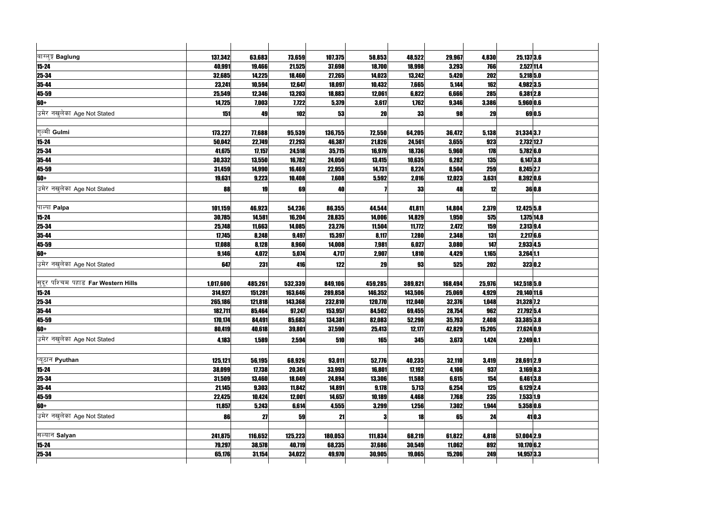| बाग्लुङ्ग Baglung                   | 137,342   | 63,683  | 73,659  | 107,375 | 58,853     | 48,522  | 29,967  | 4,830      | 25,137 3.6   |        |
|-------------------------------------|-----------|---------|---------|---------|------------|---------|---------|------------|--------------|--------|
| $15 - 24$                           | 40,991    | 19,466  | 21,525  | 37,698  | 18,700     | 18,998  | 3,293   | 766        | 2,527 11.4   |        |
| 25-34                               | 32,685    | 14,225  | 18,460  | 27,265  | 14,023     | 13,242  | 5,420   | 202        | $5,218$ 5.0  |        |
| 35-44                               | 23,241    | 10,594  | 12,647  | 18,097  | 10,432     | 7,665   | 5,144   | 162        | 4,982 3.5    |        |
| 45-59                               | 25,549    | 12,346  | 13,203  | 18,883  | 12,061     | 6,822   | 6,666   | 285        | $6,381$  2.8 |        |
| 60+                                 | 14,725    | 7,003   | 7,722   | 5,379   | 3,617      | 1,762   | 9,346   | 3,386      | 5,960 0.6    |        |
| उमेर नखुलेका Age Not Stated         | 151       | 49      | 102     | 53      | 20         | 33      | 98      | 29         | 69 0.5       |        |
|                                     |           |         |         |         |            |         |         |            |              |        |
| गुल्मी Gulmi                        | 173,227   | 77,688  | 95,539  | 136,755 | 72,550     | 64,205  | 36,472  | 5,138      | 31,334 3.7   |        |
| $15 - 24$                           | 50,042    | 22,749  | 27,293  | 46,387  | 21,826     | 24,561  | 3,655   | 923        | 2,732 12.7   |        |
| $25 - 34$                           | 41,675    | 17,157  | 24,518  | 35,715  | 16,979     | 18,736  | 5,960   | 178        | $5,782$ 6.0  |        |
| $35 - 44$                           | 30,332    | 13,550  | 16,782  | 24,050  | 13,415     | 10,635  | 6,282   | <b>135</b> | $6,147$ 3.8  |        |
| $45 - 59$                           | 31,459    | 14,990  | 16,469  | 22,955  | 14,731     | 8,224   | 8,504   | 259        | 8,245 2.7    |        |
| 60+                                 | 19,631    | 9,223   | 10,408  | 7,608   | 5,592      | 2,016   | 12,023  | 3,631      | 8,392 0.6    |        |
| उमेर नखलेका Age Not Stated          | 88        | 19      | 69      | 40      |            | 33      | 48      | 12         | 36 0.8       |        |
|                                     |           |         |         |         |            |         |         |            |              |        |
| पाल्पा Palpa                        | 101,159   | 46,923  | 54,236  | 86,355  | 44,544     | 41,811  | 14,804  | 2,379      | $12,425$ 5.8 |        |
| $15 - 24$                           | 30,785    | 14,581  | 16,204  | 28,835  | 14,006     | 14,829  | 1,950   | 575        | $1,375$ 14.8 |        |
| 25-34                               | 25,748    | 11,663  | 14,085  | 23,276  | 11,504     | 11,772  | 2,472   | <b>159</b> | 2,313 9.4    |        |
| $35 - 44$                           | 17,745    | 8,248   | 9,497   | 15,397  | 8,117      | 7,280   | 2,348   | 131        | 2,2176.6     |        |
| 45-59                               | 17,088    | 8,128   | 8,960   | 14,008  | 7,981      | 6,027   | 3,080   | 147        | 2,933 4.5    |        |
| 60+                                 | 9,146     | 4,072   | 5,074   | 4,717   | 2,907      | 1,810   | 4,429   | 1,165      | $3,264$ 1.1  |        |
| उमेर नखलेका Age Not Stated          | 647       | 231     | 416     | 122     | 29         | 93      | 525     | 202        | 323 0.2      |        |
| सुदूर पश्चिम पहाड Far Western Hills | 1,017,600 | 485,261 | 532,339 | 849,106 | 459,285    | 389,821 | 168,494 | 25,976     | 142,518 5.0  |        |
| $15 - 24$                           | 314,927   | 151,281 | 163,646 | 289,858 | 146,352    | 143,506 | 25,069  | 4,929      | 20,140 11.6  |        |
| 25-34                               | 265,186   | 121,818 | 143,368 | 232,810 | 120,770    | 112,040 | 32,376  | 1,048      | 31,328 7.2   |        |
| 35-44                               | 182,711   | 85,464  | 97,247  | 153,957 | 84,502     | 69,455  | 28,754  | 962        | 27,792 5.4   |        |
| 45-59                               | 170,174   | 84,491  | 85,683  | 134,381 | 82,083     | 52,298  | 35,793  | 2,408      | 33,385 3.8   |        |
| 60+                                 | 80,419    | 40,618  | 39,801  | 37,590  | 25,413     | 12,177  | 42,829  | 15,205     | 27,624 0.9   |        |
| उमेर नखलेका Age Not Stated          |           |         |         |         |            |         |         |            |              |        |
|                                     | 4,183     | 1,589   | 2,594   | 510     | <b>165</b> | 345     | 3,673   | 1,424      | 2,249 0.1    |        |
| प्यूठान Pyuthan                     | 125,121   | 56,195  | 68,926  | 93,011  | 52,776     | 40,235  | 32,110  | 3,419      | 28,691 2.9   |        |
| $15 - 24$                           | 38,099    | 17,738  | 20,361  | 33,993  | 16,801     | 17,192  | 4,106   | 937        | $3,169$ 8.3  |        |
| 25-34                               | 31,509    | 13,460  | 18,049  | 24,894  | 13,306     | 11,588  | 6,615   | 154        | $6,461$  3.8 |        |
| 35-44                               | 21,145    | 9,303   | 11,842  | 14,891  | 9,178      | 5,713   | 6,254   | 125        | 6,129 2.4    |        |
| 45-59                               | 22,425    | 10,424  | 12,001  | 14,657  | 10,189     | 4,468   | 7,768   | 235        | 7,533 1.9    |        |
| 60+                                 | 11,857    | 5,243   | 6,614   | 4,555   | 3,299      | 1,256   | 7,302   | 1,944      | 5,358 0.6    |        |
|                                     |           |         |         |         |            |         |         |            |              |        |
| उमेर नखलेका Age Not Stated          | 86        | 27      | 59      | 21      |            | 18      | 65      | 24         |              | 41 0.3 |
| सल्यान Salyan                       | 241,875   | 116,652 | 125,223 | 180,053 | 111,834    | 68,219  | 61,822  | 4,818      | $57,004$ 2.9 |        |
| $15 - 24$                           | 79,297    | 38,578  | 40,719  | 68,235  | 37,686     | 30,549  | 11,062  | 892        | $10,170$ 6.2 |        |
| $25 - 34$                           | 65,176    | 31,154  | 34,022  | 49,970  | 30,905     | 19,065  | 15,206  | 249        | 14,957 3.3   |        |
|                                     |           |         |         |         |            |         |         |            |              |        |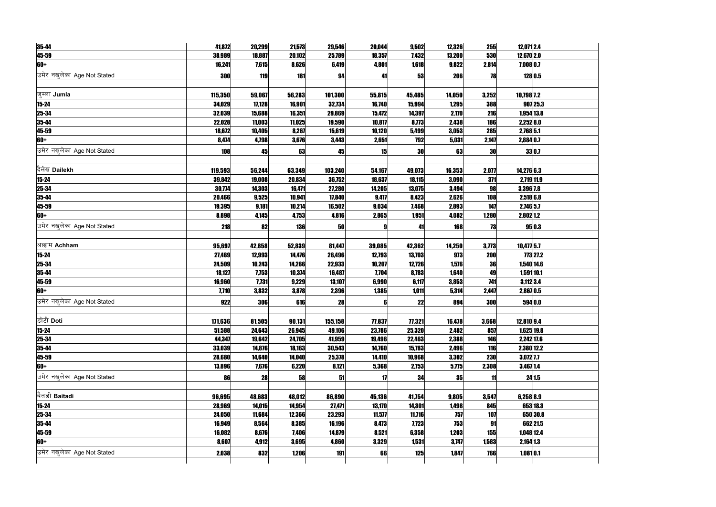| 35-44                       | 41,872     | 20,299       | 21,573     | 29,546  | 20,044 | 9,502      | 12,326     | 255        | 12,071 2.4             |              |
|-----------------------------|------------|--------------|------------|---------|--------|------------|------------|------------|------------------------|--------------|
| 45-59                       | 38,989     | 18,887       | 20,102     | 25,789  | 18,357 | 7,432      | 13,200     | 530        | 12,670 2.0             |              |
| 60+                         | 16,241     | 7,615        | 8,626      | 6,419   | 4,801  | 1,618      | 9,822      | 2,814      | $7,008$ <sub>0.7</sub> |              |
| उमेर नखुलेका Age Not Stated | 300        | 119          | 181        | 94      | 41     | 53         | 206        | 78         |                        | 128 0.5      |
|                             |            |              |            |         |        |            |            |            |                        |              |
| ज्म्ला Jumla                | 115,350    | 59,067       | 56,283     | 101,300 | 55,815 | 45,485     | 14,050     | 3,252      | 10,798 7.2             |              |
| $15 - 24$                   | 34,029     | 17,128       | 16,901     | 32,734  | 16,740 | 15,994     | 1,295      | 388        |                        | 907 25.3     |
| 25-34                       | 32,039     | 15,688       | 16,351     | 29,869  | 15,472 | 14,397     | 2,170      | 216        |                        | 1,954 13.8   |
| 35-44                       | 22,028     | 11,003       | 11,025     | 19,590  | 10,817 | 8,773      | 2,438      | 186        | 2,252 8.0              |              |
| 45-59                       | 18,672     | 10,405       | 8,267      | 15,619  | 10,120 | 5,499      | 3,053      | 285        | 2,768 5.1              |              |
| 60+                         | 8,474      | 4,798        | 3,676      | 3,443   | 2,651  | <b>792</b> | 5,031      | 2,147      | 2,884 0.7              |              |
| उमेर नखलेका Age Not Stated  | 108        | 45           | 63         | 45      | 15     | 30         | 63         | <b>30</b>  |                        | 33 0.7       |
|                             |            |              |            |         |        |            |            |            |                        |              |
| दैलेख Dailekh               | 119,593    | 56,244       | 63,349     | 103,240 | 54,167 | 49,073     | 16,353     | 2,077      | 14,276 6.3             |              |
| $15 - 24$                   | 39,842     | 19,008       | 20,834     | 36,752  | 18,637 | 18,115     | 3,090      | 371        | 2,719 11.9             |              |
| 25-34                       | 30,774     | 14,303       | 16,471     | 27,280  | 14,205 | 13,075     | 3,494      | 98         | 3,396 7.8              |              |
| 35-44                       | 20,466     | 9,525        | 10,941     | 17,840  | 9,417  | 8,423      | 2,626      | 108        | $2,518$ 6.8            |              |
| 45-59                       | 19,395     | 9,181        | 10,214     | 16,502  | 9,034  | 7,468      | 2,893      | <b>147</b> | $2,746$ 5.7            |              |
| 60+                         | 8,898      | 4,145        | 4,753      | 4,816   | 2,865  | 1,951      | 4,082      | 1,280      | $2,802$ 1.2            |              |
| उमेर नखुलेका Age Not Stated | <b>218</b> | 82           | <b>136</b> | 50      |        | 41         | <b>168</b> | 73         |                        | 95 0.3       |
|                             |            |              |            |         |        |            |            |            |                        |              |
| अछाम Achham                 | 95,697     | 42,858       | 52,839     | 81,447  | 39,085 | 42,362     | 14,250     | 3,773      | $10,477$ 5.7           |              |
| $15 - 24$                   | 27,469     | 12,993       | 14,476     | 26,496  | 12,793 | 13,703     | 973        | 200        |                        | 773 27.2     |
| 25-34                       | 24,509     | 10,243       | 14,266     | 22,933  | 10,207 | 12,726     | 1,576      | 36         |                        | $1,540$ 14.6 |
| 35-44                       | 18,127     | <b>7,753</b> | 10,374     | 16,487  | 7,704  | 8,783      | 1,640      | 49         | 1,591 10.1             |              |
| 45-59                       | 16,960     | 7,731        | 9,229      | 13,107  | 6,990  | 6,117      | 3,853      | 741        | $3,112$ 3.4            |              |
| 60+                         | 7,710      | 3,832        | 3,878      | 2,396   | 1,385  | 1,011      | 5,314      | 2,447      | $2,867$ 0.5            |              |
| उमेर नखलेका Age Not Stated  | 922        | <b>306</b>   | 616        | 28      | 6      | 22         | 894        | 300        |                        | 594 0.0      |
|                             |            |              |            |         |        |            |            |            |                        |              |
| डोटी Doti                   | 171,636    | 81,505       | 90,131     | 155,158 | 77,837 | 77,321     | 16,478     | 3,668      | 12,810 9.4             |              |
| $15 - 24$                   | 51,588     | 24,643       | 26,945     | 49,106  | 23,786 | 25,320     | 2,482      | 857        |                        | $1,625$ 19.8 |
| 25-34                       | 44,347     | 19,642       | 24,705     | 41,959  | 19,496 | 22,463     | 2,388      | 146        | 2,242 17.6             |              |
| 35-44                       | 33,039     | 14,876       | 18,163     | 30,543  | 14,760 | 15,783     | 2,496      | 116        |                        | 2,380 12.2   |
| 45-59                       | 28,680     | 14,640       | 14,040     | 25,378  | 14,410 | 10,968     | 3,302      | <b>230</b> | $3,072$ <sub>7.7</sub> |              |
| 60+                         | 13,896     | 7,676        | 6,220      | 8,121   | 5,368  | 2,753      | 5,775      | 2,308      | 3,467 1.4              |              |
| उमेर नखुलेका Age Not Stated | 86         | 28           | 58         | 51      | 17     | 34         | 35         | 11         |                        | 24 1.5       |
|                             |            |              |            |         |        |            |            |            |                        |              |
| बैतडी Baitadi               | 96,695     | 48,683       | 48,012     | 86,890  | 45,136 | 41,754     | 9,805      | 3,547      | $6,258$ 8.9            |              |
| $15 - 24$                   | 28,969     | 14,015       | 14,954     | 27,471  | 13,170 | 14,301     | 1,498      | 845        |                        | 653 18.3     |
| 25-34                       | 24,050     | 11,684       | 12,366     | 23,293  | 11,577 | 11,716     | 757        | 107        |                        | 650 30.8     |
| 35-44                       | 16,949     | 8,564        | 8,385      | 16,196  | 8,473  | 7,723      | 753        | 91         |                        | 662 21.5     |
| 45-59                       | 16,082     | 8,676        | 7,406      | 14,879  | 8,521  | 6,358      | 1,203      | 155        | 1,048 12.4             |              |
| 60+                         | 8,607      | 4,912        | 3,695      | 4,860   | 3,329  | 1,531      | 3,747      | 1,583      | $2,164$ 1.3            |              |
| उमेर नखुलेका Age Not Stated | 2,038      | 832          | 1,206      | 191     | 66     | 125        | 1,847      | 766        | $1,081$ 0.1            |              |
|                             |            |              |            |         |        |            |            |            |                        |              |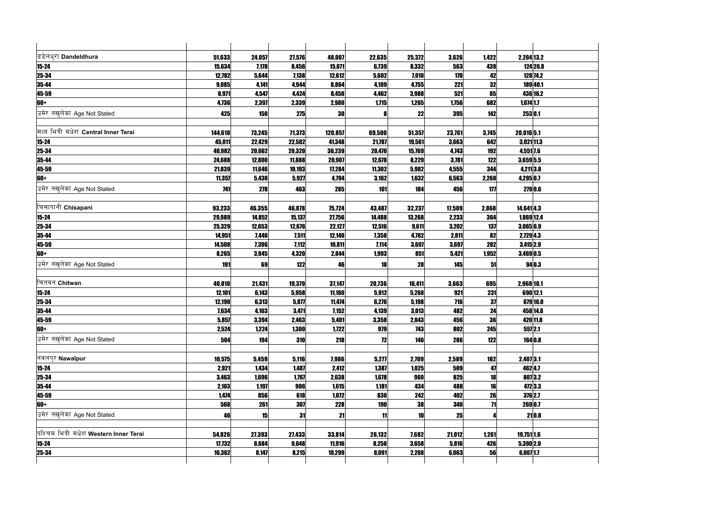| डडेलधुरा Dandeldhura                   | 51,633  | 24,057     | 27,576     | 48,007     | 22,635     | 25,372     | 3,626      | 1,422      |                | 2,204 13.2 |
|----------------------------------------|---------|------------|------------|------------|------------|------------|------------|------------|----------------|------------|
| $15 - 24$                              | 15,634  | 7,178      | 8,456      | 15,071     | 6,739      | 8,332      | 563        | 439        |                | 124 26.8   |
| 25-34<br>35-44                         | 12,782  | 5,644      | 7,138      | 12,612     | 5,602      | 7,010      | 170        | 42         |                | 128 74.2   |
|                                        | 9,085   | 4,141      | 4,944      | 8,864      | 4,109      | 4,755      | 221        | 32         |                | 18940.1    |
|                                        | 8,971   | 4,547      | 4,424      | 8,450      | 4,462      | 3,988      | 521        | 85         |                | 436 16.2   |
| 45-59<br>60+                           | 4,736   | 2,397      | 2,339      | 2,980      | 1,715      | 1,265      | 1,756      | 682        | $1,074$ 1.7    |            |
| उमेर नखुलेका Age Not Stated            | 425     | <b>150</b> | 275        | 30         |            | 22         | 395        | 142        |                | 253 0.1    |
|                                        |         |            |            |            |            |            |            |            |                |            |
| मध्य भित्री मधेश Central Inner Terai   | 144,618 | 73,245     | 71,373     | 120,857    | 69,500     | 51,357     | 23,761     | 3,745      | 20,016 5.1     |            |
| $15 - 24$                              | 45,011  | 22,429     | 22,582     | 41,348     | 21,787     | 19,561     | 3,663      | 642        |                | 3,021 11.3 |
| 25-34                                  | 40,982  | 20,662     | 20,320     | 36,239     | 20,470     | 15,769     | 4,743      | 192        | 4,551 7.6      |            |
| 35-44                                  | 24,688  | 12,800     | 11,888     | 20,907     | 12,678     | 8,229      | 3,781      | 122        | 3,659 5.5      |            |
| 45-59                                  | 21,839  | 11,646     | 10,193     | 17,284     | 11,302     | 5,982      | 4,555      | 344        |                | 4,211 3.8  |
| $60+$                                  | 11,357  | 5,430      | 5,927      | 4,794      | 3,162      | 1,632      | 6,563      | 2,268      | 4,295 0.7      |            |
| उमेर नखुलेका Age Not Stated            | 741     | <b>278</b> | 463        | 285        | 101        | 184        | 456        | 177        |                | 279 0.6    |
|                                        |         |            |            |            |            |            |            |            |                |            |
| चिसापानी Chisapani                     | 93,233  | 46,355     | 46,878     | 75,724     | 43,487     | 32,237     | 17,509     | 2,868      | $14,641$ $4.3$ |            |
| $15 - 24$                              | 29,989  | 14,852     | 15,137     | 27,756     | 14,488     | 13,268     | 2,233      | 364        |                | 1,869 12.4 |
| <b>25-34</b>                           | 25,329  | 12,653     | 12,676     | 22,127     | 12,516     | 9,611      | 3,202      | 137        | 3,0656.9       |            |
| $35 - 44$                              | 14,951  | 7,440      | 7,511      | 12,140     | 7,358      | 4,782      | 2,811      | 82         | 2,729 4.3      |            |
|                                        | 14,508  | 7,396      | 7,112      | 10,811     | 7,114      | 3,697      | 3,697      | <b>282</b> | $3,415$  2.9   |            |
| 45-59<br>60+                           | 8,265   | 3,945      | 4,320      | 2,844      | 1,993      | 851        | 5,421      | 1,952      | 3,469 0.5      |            |
| उमेर नखुलेका Age Not Stated            | 191     | 69         | 122        | 46         | 18         | 28         | 145        | 51         |                | 94 0.3     |
|                                        |         |            |            |            |            |            |            |            |                |            |
| चितवन Chitwan                          | 40,810  | 21,431     | 19,379     | 37,147     | 20,736     | 16,411     | 3,663      | 695        | 2,968 10.1     |            |
| $15 - 24$                              | 12,101  | 6,143      | 5,958      | 11,180     | 5,912      | 5,268      | 921        | 231        |                | 690 12.1   |
| $25 - 34$                              | 12,190  | 6,313      | 5,877      | 11,474     | 6,276      | 5,198      | 716        | 37         |                | 679 16.0   |
| 35-44                                  | 7,634   | 4,163      | 3,471      | 7,152      | 4,139      | 3,013      | 482        | 24         |                | 458 14.8   |
| 45-59                                  | 5,857   | 3,394      | 2,463      | 5,401      | 3,358      | 2,043      | 456        | 36         |                | 420 11.8   |
| $60+$                                  | 2,524   | 1,224      | 1,300      | 1,722      | 979        | 743        | 802        | 245        |                | 557 2.1    |
| उमेर नखुलेका Age Not Stated            | 504     | 194        | <b>310</b> | <b>218</b> | 12         | <b>146</b> | 286        | 122        |                | 164 0.8    |
|                                        |         |            |            |            |            |            |            |            |                |            |
| नवलपुर Nawalpur                        | 10,575  | 5,459      | 5,116      | 7,986      | 5,277      | 2,709      | 2,589      | <b>182</b> | 2,407 3.1      |            |
| $15 - 24$                              | 2,921   | 1,434      | 1,487      | 2,412      | 1,387      | 1,025      | 509        | 47         |                | 462 4.7    |
| 25-34                                  | 3,463   | 1,696      | 1,767      | 2,638      | 1,678      | 960        | 825        | 18         |                | 8073.2     |
|                                        | 2,103   | 1,197      | 906        | 1,615      | 1,181      | 434        | 488        | 16         |                | 472 3.3    |
| 35-44<br>45-59                         | 1,474   | 856        | 618        | 1,072      | 830        | 242        | 402        | 26         |                | 376 2.7    |
| $60+$                                  | 568     | 261        | 307        | <b>228</b> | <b>190</b> | 38         | <b>340</b> | 71         |                | 269 0.7    |
| उमेर नखुलेका Age Not Stated            | 46      | 15         | 31         | 21         | 11         | 10         | 25         |            |                | 21 0.8     |
|                                        |         |            |            |            |            |            |            |            |                |            |
| पश्चिम भित्री मधेश Western Inner Terai | 54,826  | 27,393     | 27,433     | 33,814     | 26,132     | 7,682      | 21,012     | 1,261      | 19,751 1.6     |            |
|                                        | 17,732  | 8,684      | 9,048      | 11,916     | 8,258      | 3,658      | 5,816      | 426        | 5,390 2.0      |            |
| $\frac{15-24}{25-34}$                  | 16,362  | 8,147      | 8,215      | 10,299     | 8,091      | 2,208      | 6,063      | 56         | $6,007$  1.7   |            |
|                                        |         |            |            |            |            |            |            |            |                |            |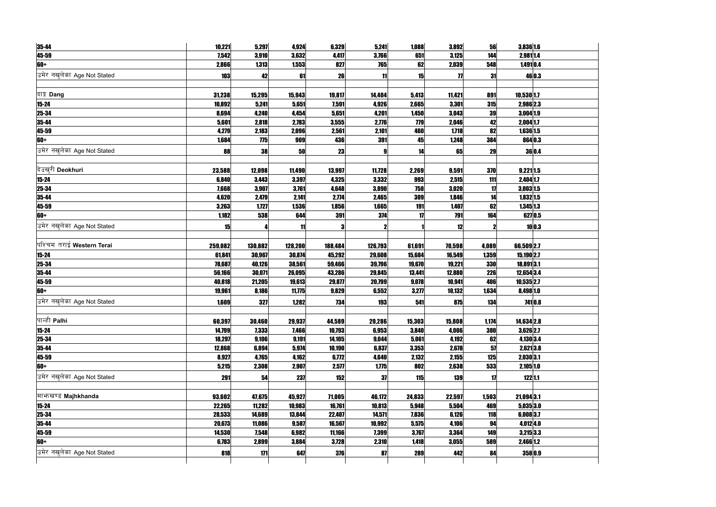| 35-44                       | 10,221     | 5,297   | 4,924   | 6,329   | 5,241   | 1,088      | 3,892      | 56         | 3,836 1.6     |         |
|-----------------------------|------------|---------|---------|---------|---------|------------|------------|------------|---------------|---------|
| 45-59                       | 7,542      | 3,910   | 3,632   | 4,417   | 3,766   | 651        | 3,125      | 144        | 2,981 1.4     |         |
| 60+                         | 2,866      | 1,313   | 1,553   | 827     | 765     | 62         | 2,039      | 548        | 1,491 0.4     |         |
| उमेर नखलेका Age Not Stated  | <b>103</b> | 42      | 61      | 26      | 11      | 15         | 77         | 31         |               | 46 0.3  |
|                             |            |         |         |         |         |            |            |            |               |         |
| दाङ्ग Dang                  | 31,238     | 15,295  | 15,943  | 19,817  | 14,404  | 5,413      | 11,421     | 891        | 10,530 1.7    |         |
| $15 - 24$                   | 10,892     | 5,241   | 5,651   | 7,591   | 4,926   | 2,665      | 3,301      | 315        | 2,986 2.3     |         |
| 25-34                       | 8,694      | 4,240   | 4,454   | 5,651   | 4,201   | 1,450      | 3,043      | 39         | 3,004 1.9     |         |
| 35-44                       | 5,601      | 2,818   | 2,783   | 3,555   | 2,776   | <b>779</b> | 2,046      | 42         | $2,004$ 1.7   |         |
| 45-59                       | 4,279      | 2,183   | 2,096   | 2,561   | 2,101   | 460        | 1,718      | 82         | 1,636 1.5     |         |
| 60+                         | 1,684      | 775     | 909     | 436     | 391     | 45         | 1,248      | 384        |               | 864 0.3 |
| उमेर नखुलेका Age Not Stated | 88         | 38      | 50      | 23      |         | 14         | 65         | 29         |               | 36 0.4  |
|                             |            |         |         |         |         |            |            |            |               |         |
| दिउख्री Deokhuri            | 23,588     | 12,098  | 11,490  | 13,997  | 11,728  | 2,269      | 9,591      | 370        | $9,221$ 1.5   |         |
| $15 - 24$                   | 6,840      | 3,443   | 3,397   | 4,325   | 3,332   | 993        | 2,515      | 111        | 2,404 1.7     |         |
| $25 - 34$                   | 7,668      | 3,907   | 3,761   | 4,648   | 3,890   | 758        | 3,020      | 17         | 3,003 1.5     |         |
| 35-44                       | 4,620      | 2,479   | 2,141   | 2,774   | 2,465   | 309        | 1,846      | 14         | 1,832 1.5     |         |
| 45-59                       | 3,263      | 1,727   | 1,536   | 1,856   | 1,665   | 191        | 1,407      | 62         | $1,345$ 1.3   |         |
| 60+                         | 1,182      | 538     | 644     | 391     | 374     | 17         | 791        | 164        |               | 627 0.5 |
| उमेर नखुलेका Age Not Stated | 15         |         | 11      |         |         |            | 12         |            |               | 10 0.3  |
|                             |            |         |         |         |         |            |            |            |               |         |
| पश्चिम तराई Western Terai   | 259,082    | 130,882 | 128,200 | 188,484 | 126,793 | 61,691     | 70,598     | 4,089      | 66,509 2.7    |         |
| $15 - 24$                   | 61,841     | 30,967  | 30,874  | 45,292  | 29,608  | 15,684     | 16,549     | 1,359      | 15,190 2.7    |         |
| $25 - 34$                   | 78,687     | 40,126  | 38,561  | 59,466  | 39,796  | 19,670     | 19,221     | 330        | 18,891 3.1    |         |
| 35-44                       | 56,166     | 30,071  | 26,095  | 43,286  | 29,845  | 13,441     | 12,880     | 226        | 12,654 3.4    |         |
| 45-59                       | 40,818     | 21,205  | 19,613  | 29,877  | 20,799  | 9,078      | 10,941     | 406        | $10,535$  2.7 |         |
| 60+                         | 19,961     | 8,186   | 11,775  | 9,829   | 6,552   | 3,277      | 10,132     | 1,634      | 8,498 1.0     |         |
| उमेर नखुलेका Age Not Stated | 1,609      | 327     | 1,282   | 734     | 193     | 541        | 875        | 134        |               | 7410.8  |
|                             |            |         |         |         |         |            |            |            |               |         |
| पाल्ही Palhi                | 60,397     | 30,460  | 29,937  | 44,589  | 29,286  | 15,303     | 15,808     | 1,174      | $14,634$ 2.8  |         |
| $15 - 24$                   | 14,799     | 7,333   | 7,466   | 10,793  | 6,953   | 3,840      | 4,006      | 380        | 3,626 2.7     |         |
| $25 - 34$                   | 18,297     | 9,106   | 9,191   | 14,105  | 9,044   | 5,061      | 4,192      | 62         | 4,130 3.4     |         |
| $35 - 44$                   | 12,868     | 6,894   | 5,974   | 10,190  | 6,837   | 3,353      | 2,678      | 57         | $2,621$ 3.8   |         |
| 45-59                       | 8,927      | 4,765   | 4,162   | 6,772   | 4,640   | 2,132      | 2,155      | 125        | 2,030 3.1     |         |
| 60+                         | 5,215      | 2,308   | 2,907   | 2,577   | 1,775   | 802        | 2,638      | 533        | $2,105$ 1.0   |         |
| उमेर नखलेका Age Not Stated  | 291        | 54      | 237     | 152     | 37      | <b>115</b> | <b>139</b> | 17         | 122 1.1       |         |
|                             |            |         |         |         |         |            |            |            |               |         |
| माभाखण्ड Majhkhanda         | 93,602     | 47,675  | 45,927  | 71,005  | 46,172  | 24,833     | 22,597     | 1,503      | 21,094 3.1    |         |
| $15 - 24$                   | 22,265     | 11,282  | 10,983  | 16,761  | 10,813  | 5,948      | 5,504      | 469        | $5,035$  3.0  |         |
| $25 - 34$                   | 28,533     | 14,689  | 13,844  | 22,407  | 14,571  | 7,836      | 6,126      | <b>118</b> | $6,008$ 3.7   |         |
| $35 - 44$                   | 20,673     | 11,086  | 9,587   | 16,567  | 10,992  | 5,575      | 4,106      | 94         | 4,012 4.0     |         |
| 45-59                       | 14,530     | 7,548   | 6,982   | 11,166  | 7,399   | 3,767      | 3,364      | 149        | $3,215$ 3.3   |         |
| $60+$                       | 6,783      | 2,899   | 3,884   | 3,728   | 2,310   | 1,418      | 3,055      | 589        | 2,466 1.2     |         |
| उमेर नखलेका Age Not Stated  | 818        | 171     | 647     | 376     | 87      | 289        | 442        | 84         |               | 358 0.9 |
|                             |            |         |         |         |         |            |            |            |               |         |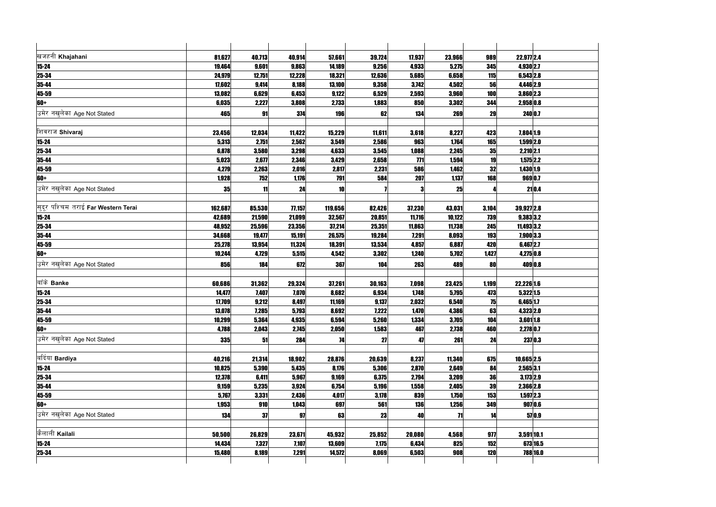| खजहनी Khajahani                     | 81,627  | 40,713 | 40,914       | 57,661     | 39,724 | 17,937     | 23,966 | 989        | 22,977 2.4    |          |  |
|-------------------------------------|---------|--------|--------------|------------|--------|------------|--------|------------|---------------|----------|--|
| $15 - 24$                           | 19,464  | 9,601  | 9,863        | 14,189     | 9,256  | 4,933      | 5,275  | 345        | 4,930 2.7     |          |  |
| 25-34                               | 24,979  | 12,751 | 12,228       | 18,321     | 12,636 | 5,685      | 6,658  | 115        | 6,543 2.8     |          |  |
| 35-44                               | 17,602  | 9,414  | 8,188        | 13,100     | 9,358  | 3,742      | 4,502  | 56         | 4,446 2.9     |          |  |
| 45-59                               | 13,082  | 6,629  | 6,453        | 9,122      | 6,529  | 2,593      | 3,960  | 100        | 3,860 2.3     |          |  |
| 60+                                 | 6,035   | 2,227  | 3,808        | 2,733      | 1,883  | 850        | 3,302  | 344        | 2,958 0.8     |          |  |
| उमेर नखुलेका Age Not Stated         | 465     | 91     | 374          | <b>196</b> | 62     | 134        | 269    | 29         | 240 0.7       |          |  |
| शिवराज Shivaraj                     | 23,456  | 12,034 | 11,422       | 15,229     | 11,611 | 3,618      | 8,227  | 423        | 7,804 1.9     |          |  |
| $15 - 24$                           | 5,313   | 2,751  | 2,562        | 3,549      | 2,586  | 963        | 1,764  | 165        | 1,599 2.0     |          |  |
| $25 - 34$                           | 6,878   | 3,580  | 3,298        | 4,633      | 3,545  | 1,088      | 2,245  | 35         | 2,210 2.1     |          |  |
| $35 - 44$                           | 5,023   | 2,677  | 2,346        | 3,429      | 2,658  | 771        | 1,594  | 19         | $1,575$  2.2  |          |  |
| $45 - 59$                           | 4,279   | 2,263  | 2,016        | 2,817      | 2,231  | 586        | 1,462  | 32         | 1,430 1.9     |          |  |
| $60+$                               | 1,928   | 752    | 1,176        | 791        | 584    | <b>207</b> | 1,137  | 168        | 969 0.7       |          |  |
| उमेर नखलेका Age Not Stated          | 35      | 11     | 24           | 10         |        |            | 25     |            |               | 21 0.4   |  |
|                                     |         |        |              |            |        |            |        |            |               |          |  |
| सुदूर पश्चिम तराई Far Western Terai | 162,687 | 85,530 | 77,157       | 119,656    | 82,426 | 37,230     | 43,031 | 3,104      | 39,927 2.8    |          |  |
| $15 - 24$                           | 42,689  | 21,590 | 21,099       | 32,567     | 20,851 | 11,716     | 10,122 | 739        | 9,383 3.2     |          |  |
| 25-34                               | 48,952  | 25,596 | 23,356       | 37,214     | 25,351 | 11,863     | 11,738 | 245        | 11,493 3.2    |          |  |
| $35 - 44$                           | 34,668  | 19,477 | 15,191       | 26,575     | 19,284 | 7,291      | 8,093  | 193        | 7,900 3.3     |          |  |
| 45-59                               | 25,278  | 13,954 | 11,324       | 18,391     | 13,534 | 4,857      | 6,887  | 420        | $6,467$  2.7  |          |  |
| $60+$                               | 10,244  | 4,729  | 5,515        | 4,542      | 3,302  | 1,240      | 5,702  | 1,427      | 4,275 0.8     |          |  |
| उमेर नखलेका Age Not Stated          | 856     | 184    | 672          | 367        | 104    | 263        | 489    | 80         | 409 0.8       |          |  |
| बाँके Banke                         | 60,686  | 31,362 | 29,324       | 37,261     | 30,163 | 7,098      | 23,425 | 1,199      | $22,226$ 1.6  |          |  |
| $15 - 24$                           | 14,477  | 7,407  | 7,070        | 8,682      | 6,934  | 1,748      | 5,795  | 473        | $5,322$ 1.5   |          |  |
| $25 - 34$                           | 17,709  | 9,212  | 8,497        | 11,169     | 9,137  | 2,032      | 6,540  | 75         | $6,465$ 1.7   |          |  |
| 35-44                               | 13,078  | 7,285  | 5,793        | 8,692      | 7,222  | 1,470      | 4,386  | 63         | 4,323 2.0     |          |  |
| 45-59                               | 10,299  | 5,364  | 4,935        | 6,594      | 5,260  | 1,334      | 3,705  | 104        | $3,601$ 1.8   |          |  |
| 60+                                 | 4,788   | 2,043  | 2,745        | 2,050      | 1,583  | 467        | 2,738  | 460        | 2,278 0.7     |          |  |
| उमेर नखलेका Age Not Stated          | 335     | 51     | 284          | 74         | 27     | 47         | 261    | 24         | 237 0.3       |          |  |
|                                     |         |        |              |            |        |            |        |            |               |          |  |
| बर्दिया Bardiya                     | 40,216  | 21,314 | 18,902       | 28,876     | 20,639 | 8,237      | 11,340 | 675        | $10,665$  2.5 |          |  |
| $15 - 24$                           | 10,825  | 5,390  | 5,435        | 8,176      | 5,306  | 2,870      | 2,649  | 84         | 2,565 3.1     |          |  |
| 25-34                               | 12,378  | 6,411  | 5,967        | 9,169      | 6,375  | 2,794      | 3,209  | 36         | $3,173$ 2.9   |          |  |
| 35-44                               | 9,159   | 5,235  | 3,924        | 6,754      | 5,196  | 1,558      | 2,405  | 39         | 2,366 2.8     |          |  |
| 45-59                               | 5,767   | 3,331  | 2,436        | 4,017      | 3,178  | 839        | 1,750  | 153        | $1,597$  2.3  |          |  |
| 60+                                 | 1,953   | 910    | 1,043        | 697        | 561    | <b>136</b> | 1,256  | 349        | 907 0.6       |          |  |
| उमेर नखुलेका Age Not Stated         | 134     | 37     | 97           | 63         | 23     | 40         | 71     | 14         |               | 57 0.9   |  |
|                                     |         |        |              |            |        |            |        |            |               |          |  |
| कैलाली Kailali                      | 50,500  | 26,829 | 23,671       | 45,932     | 25,852 | 20,080     | 4,568  | 977        | 3,591 10.1    |          |  |
| $15 - 24$                           | 14,434  | 7,327  | 7,107        | 13,609     | 7,175  | 6,434      | 825    | 152        |               | 673 16.5 |  |
| 25-34                               | 15,480  | 8,189  | <b>7,291</b> | 14,572     | 8,069  | 6,503      | 908    | <b>120</b> | 788 16.0      |          |  |
|                                     |         |        |              |            |        |            |        |            |               |          |  |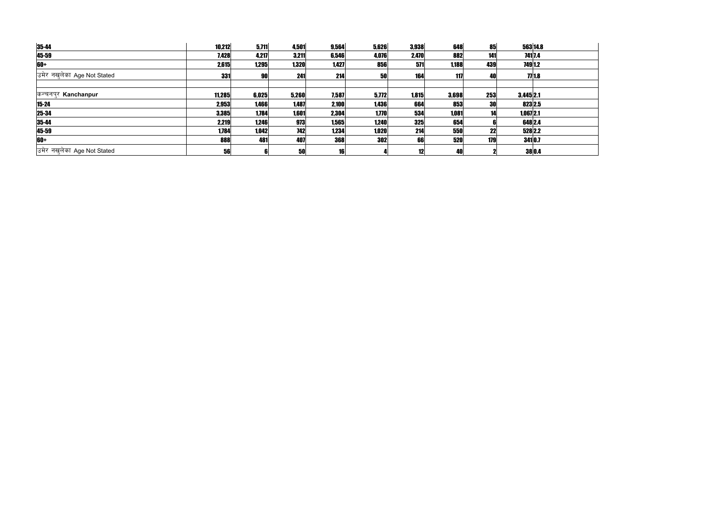| 35-44                       | 10,212     | 5,711 | 4,501      | 9,564      | 5,626 | 3,938      | 648   | 85        |              | 563 14.8 |
|-----------------------------|------------|-------|------------|------------|-------|------------|-------|-----------|--------------|----------|
| 45-59                       | 7,428      | 4,217 | 3,211      | 6,546      | 4,076 | 2,470      | 882   | 141       |              | 741 7.4  |
| 60+                         | 2,615      | 1,295 | 1,320      | 1,427      | 856   | 571        | 1,188 | 439       | 749 1.2      |          |
| उमेर नखुलेका Age Not Stated | <b>331</b> | 90    | 241        | 214        | 50    | 164        | 117   | <b>40</b> |              | 77 18    |
|                             |            |       |            |            |       |            |       |           |              |          |
| कन्चनपुर Kanchanpur         | 11,285     | 6,025 | 5,260      | 7,587      | 5,772 | 1,815      | 3,698 | 253       | $3,445$  2.1 |          |
| 15-24                       | 2,953      | 1,466 | 1,487      | 2,100      | 1,436 | 664        | 853   | <b>30</b> | 823 2.5      |          |
| 25-34                       | 3,385      | 1,784 | 1,601      | 2,304      | 1,770 | 534        | 1,081 |           | $1,067$  2.1 |          |
| 35-44                       | 2,219      | 1,246 | 973        | 1,565      | 1,240 | <b>325</b> | 654   |           | 648 2.4      |          |
| 45-59                       | 1,784      | 1,042 | <b>742</b> | 1,234      | 1,020 | 214        | 550   | 22        | 528 2.2      |          |
| 60+                         | 888        | 481   | 407        | <b>368</b> | 302   | 66         | 520   | 179       | 3410.7       |          |
| उमेर नखुलेका Age Not Stated | 56         |       | 50         | 16         |       | 12         | 40    |           |              | 38 0.4   |